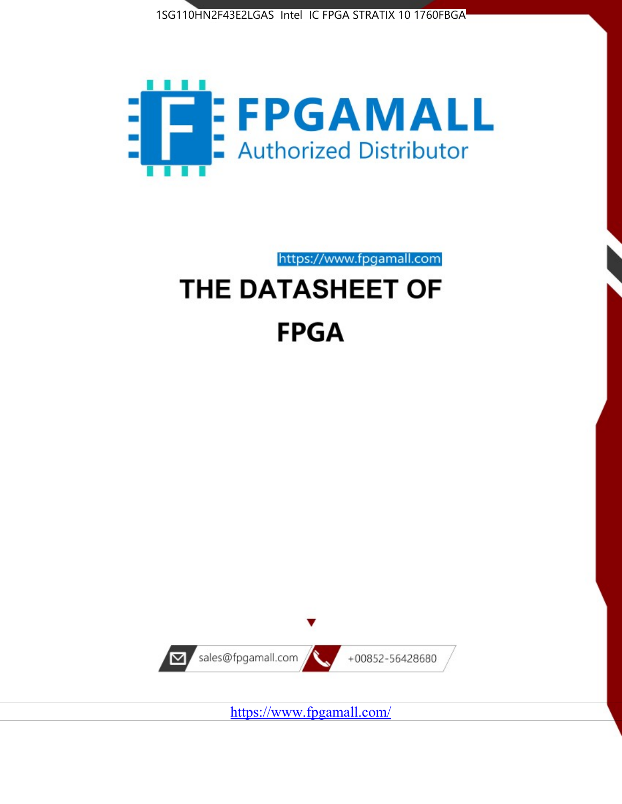1SG110HN2F43E2LGAS Intel IC FPGA STRATIX 10 1760FBGA



https://www.fpgamall.com

# THE DATASHEET OF **FPGA**



<https://www.fpgamall.com/>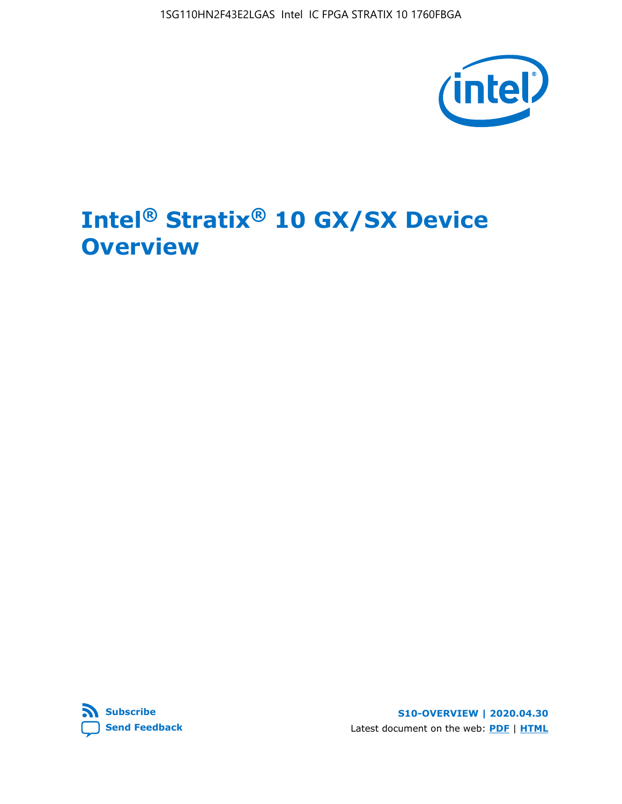1SG110HN2F43E2LGAS Intel IC FPGA STRATIX 10 1760FBGA



# **Intel® Stratix® 10 GX/SX Device Overview**



**S10-OVERVIEW | 2020.04.30** Latest document on the web: **[PDF](https://www.intel.com/content/dam/www/programmable/us/en/pdfs/literature/hb/stratix-10/s10-overview.pdf)** | **[HTML](https://www.intel.com/content/www/us/en/programmable/documentation/joc1442261161666.html)**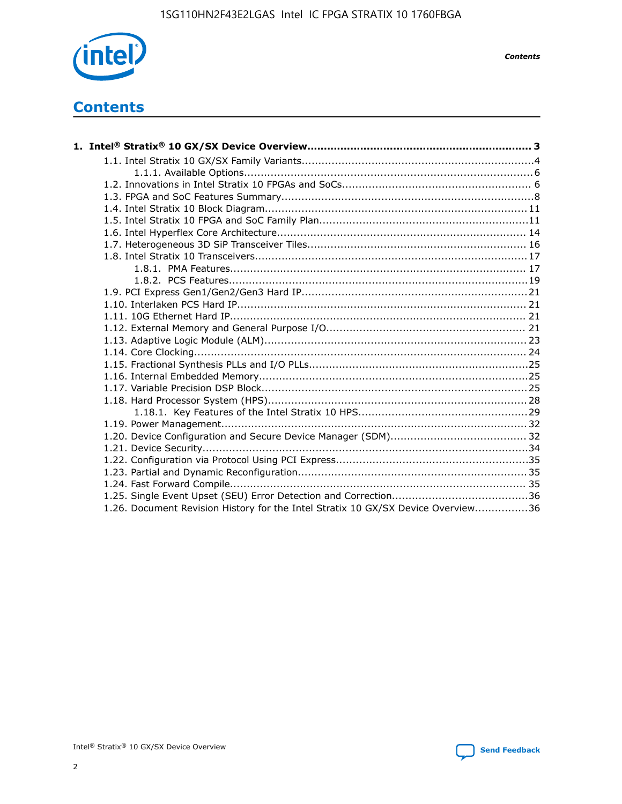

*Contents*

# **Contents**

| 1.26. Document Revision History for the Intel Stratix 10 GX/SX Device Overview36 |  |
|----------------------------------------------------------------------------------|--|

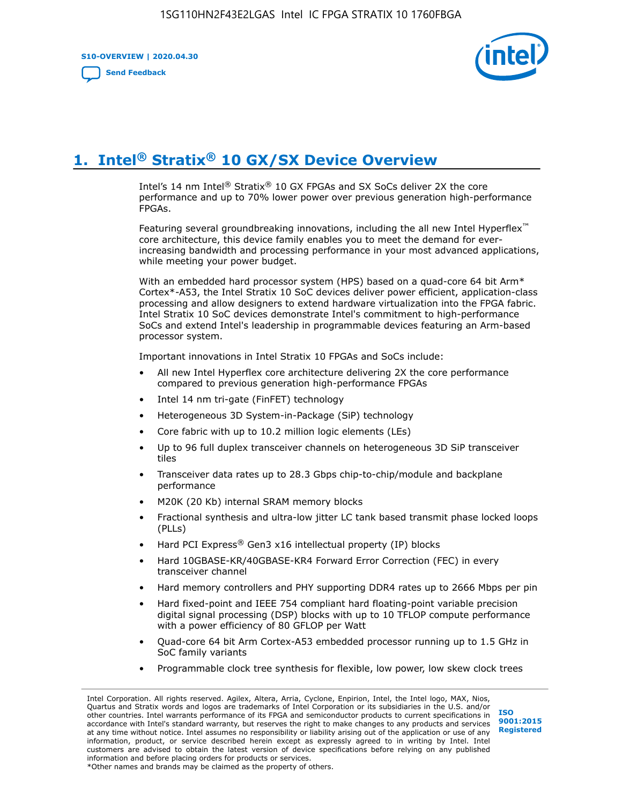**S10-OVERVIEW | 2020.04.30**

**[Send Feedback](mailto:FPGAtechdocfeedback@intel.com?subject=Feedback%20on%20Intel%20Stratix%2010%20GX/SX%20Device%20Overview%20(S10-OVERVIEW%202020.04.30)&body=We%20appreciate%20your%20feedback.%20In%20your%20comments,%20also%20specify%20the%20page%20number%20or%20paragraph.%20Thank%20you.)**



# **1. Intel® Stratix® 10 GX/SX Device Overview**

Intel's 14 nm Intel® Stratix® 10 GX FPGAs and SX SoCs deliver 2X the core performance and up to 70% lower power over previous generation high-performance FPGAs.

Featuring several groundbreaking innovations, including the all new Intel Hyperflex™ core architecture, this device family enables you to meet the demand for everincreasing bandwidth and processing performance in your most advanced applications, while meeting your power budget.

With an embedded hard processor system (HPS) based on a quad-core 64 bit Arm\* Cortex\*-A53, the Intel Stratix 10 SoC devices deliver power efficient, application-class processing and allow designers to extend hardware virtualization into the FPGA fabric. Intel Stratix 10 SoC devices demonstrate Intel's commitment to high-performance SoCs and extend Intel's leadership in programmable devices featuring an Arm-based processor system.

Important innovations in Intel Stratix 10 FPGAs and SoCs include:

- All new Intel Hyperflex core architecture delivering 2X the core performance compared to previous generation high-performance FPGAs
- Intel 14 nm tri-gate (FinFET) technology
- Heterogeneous 3D System-in-Package (SiP) technology
- Core fabric with up to 10.2 million logic elements (LEs)
- Up to 96 full duplex transceiver channels on heterogeneous 3D SiP transceiver tiles
- Transceiver data rates up to 28.3 Gbps chip-to-chip/module and backplane performance
- M20K (20 Kb) internal SRAM memory blocks
- Fractional synthesis and ultra-low jitter LC tank based transmit phase locked loops (PLLs)
- Hard PCI Express<sup>®</sup> Gen3 x16 intellectual property (IP) blocks
- Hard 10GBASE-KR/40GBASE-KR4 Forward Error Correction (FEC) in every transceiver channel
- Hard memory controllers and PHY supporting DDR4 rates up to 2666 Mbps per pin
- Hard fixed-point and IEEE 754 compliant hard floating-point variable precision digital signal processing (DSP) blocks with up to 10 TFLOP compute performance with a power efficiency of 80 GFLOP per Watt
- Quad-core 64 bit Arm Cortex-A53 embedded processor running up to 1.5 GHz in SoC family variants
- Programmable clock tree synthesis for flexible, low power, low skew clock trees

Intel Corporation. All rights reserved. Agilex, Altera, Arria, Cyclone, Enpirion, Intel, the Intel logo, MAX, Nios, Quartus and Stratix words and logos are trademarks of Intel Corporation or its subsidiaries in the U.S. and/or other countries. Intel warrants performance of its FPGA and semiconductor products to current specifications in accordance with Intel's standard warranty, but reserves the right to make changes to any products and services at any time without notice. Intel assumes no responsibility or liability arising out of the application or use of any information, product, or service described herein except as expressly agreed to in writing by Intel. Intel customers are advised to obtain the latest version of device specifications before relying on any published information and before placing orders for products or services. \*Other names and brands may be claimed as the property of others.

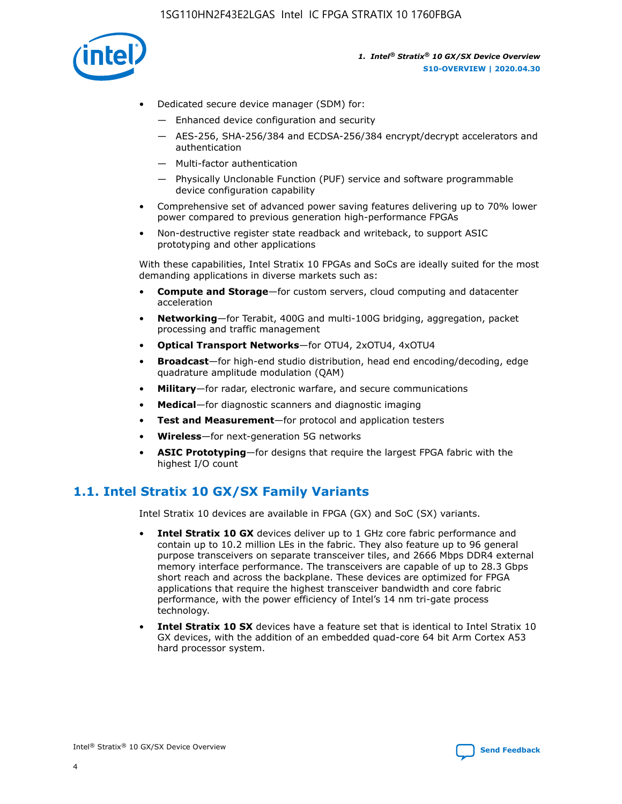

- Dedicated secure device manager (SDM) for:
	- Enhanced device configuration and security
	- AES-256, SHA-256/384 and ECDSA-256/384 encrypt/decrypt accelerators and authentication
	- Multi-factor authentication
	- Physically Unclonable Function (PUF) service and software programmable device configuration capability
- Comprehensive set of advanced power saving features delivering up to 70% lower power compared to previous generation high-performance FPGAs
- Non-destructive register state readback and writeback, to support ASIC prototyping and other applications

With these capabilities, Intel Stratix 10 FPGAs and SoCs are ideally suited for the most demanding applications in diverse markets such as:

- **Compute and Storage**—for custom servers, cloud computing and datacenter acceleration
- **Networking**—for Terabit, 400G and multi-100G bridging, aggregation, packet processing and traffic management
- **Optical Transport Networks**—for OTU4, 2xOTU4, 4xOTU4
- **Broadcast**—for high-end studio distribution, head end encoding/decoding, edge quadrature amplitude modulation (QAM)
- **Military**—for radar, electronic warfare, and secure communications
- **Medical**—for diagnostic scanners and diagnostic imaging
- **Test and Measurement**—for protocol and application testers
- **Wireless**—for next-generation 5G networks
- **ASIC Prototyping**—for designs that require the largest FPGA fabric with the highest I/O count

## **1.1. Intel Stratix 10 GX/SX Family Variants**

Intel Stratix 10 devices are available in FPGA (GX) and SoC (SX) variants.

- **Intel Stratix 10 GX** devices deliver up to 1 GHz core fabric performance and contain up to 10.2 million LEs in the fabric. They also feature up to 96 general purpose transceivers on separate transceiver tiles, and 2666 Mbps DDR4 external memory interface performance. The transceivers are capable of up to 28.3 Gbps short reach and across the backplane. These devices are optimized for FPGA applications that require the highest transceiver bandwidth and core fabric performance, with the power efficiency of Intel's 14 nm tri-gate process technology.
- **Intel Stratix 10 SX** devices have a feature set that is identical to Intel Stratix 10 GX devices, with the addition of an embedded quad-core 64 bit Arm Cortex A53 hard processor system.

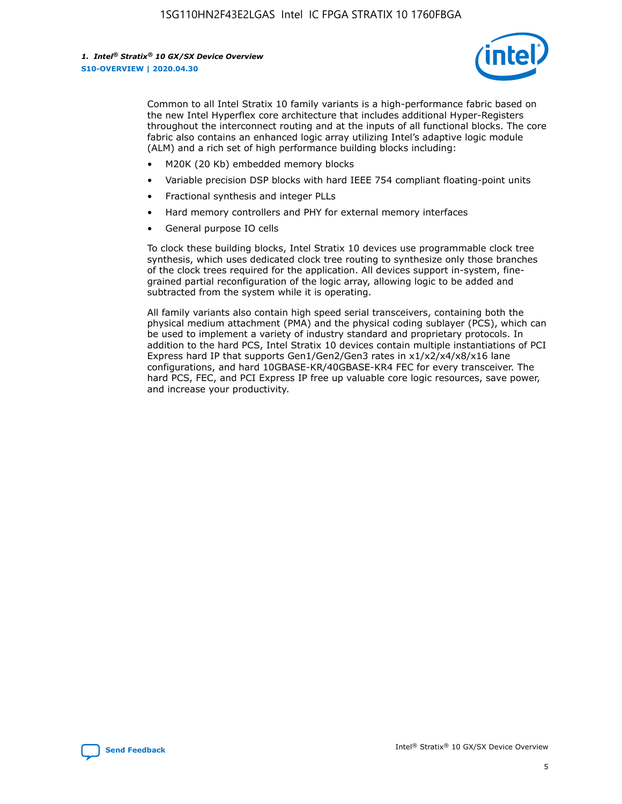

Common to all Intel Stratix 10 family variants is a high-performance fabric based on the new Intel Hyperflex core architecture that includes additional Hyper-Registers throughout the interconnect routing and at the inputs of all functional blocks. The core fabric also contains an enhanced logic array utilizing Intel's adaptive logic module (ALM) and a rich set of high performance building blocks including:

- M20K (20 Kb) embedded memory blocks
- Variable precision DSP blocks with hard IEEE 754 compliant floating-point units
- Fractional synthesis and integer PLLs
- Hard memory controllers and PHY for external memory interfaces
- General purpose IO cells

To clock these building blocks, Intel Stratix 10 devices use programmable clock tree synthesis, which uses dedicated clock tree routing to synthesize only those branches of the clock trees required for the application. All devices support in-system, finegrained partial reconfiguration of the logic array, allowing logic to be added and subtracted from the system while it is operating.

All family variants also contain high speed serial transceivers, containing both the physical medium attachment (PMA) and the physical coding sublayer (PCS), which can be used to implement a variety of industry standard and proprietary protocols. In addition to the hard PCS, Intel Stratix 10 devices contain multiple instantiations of PCI Express hard IP that supports Gen1/Gen2/Gen3 rates in x1/x2/x4/x8/x16 lane configurations, and hard 10GBASE-KR/40GBASE-KR4 FEC for every transceiver. The hard PCS, FEC, and PCI Express IP free up valuable core logic resources, save power, and increase your productivity.

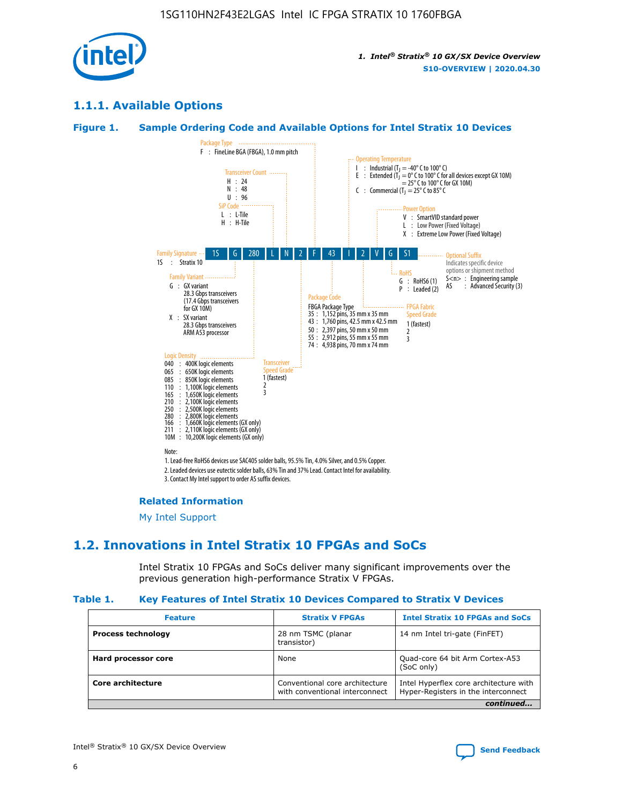

## **1.1.1. Available Options**

#### **Figure 1. Sample Ordering Code and Available Options for Intel Stratix 10 Devices**



3. Contact My Intel support to order AS suffix devices.

#### **Related Information**

[My Intel Support](https://www.intel.com/content/www/us/en/programmable/my-intel/mal-home.html)

## **1.2. Innovations in Intel Stratix 10 FPGAs and SoCs**

Intel Stratix 10 FPGAs and SoCs deliver many significant improvements over the previous generation high-performance Stratix V FPGAs.

#### **Table 1. Key Features of Intel Stratix 10 Devices Compared to Stratix V Devices**

| <b>Feature</b>            | <b>Stratix V FPGAs</b>                                           | <b>Intel Stratix 10 FPGAs and SoCs</b>                                        |  |
|---------------------------|------------------------------------------------------------------|-------------------------------------------------------------------------------|--|
| <b>Process technology</b> | 28 nm TSMC (planar<br>transistor)                                | 14 nm Intel tri-gate (FinFET)                                                 |  |
| Hard processor core       | None                                                             | Quad-core 64 bit Arm Cortex-A53<br>(SoC only)                                 |  |
| Core architecture         | Conventional core architecture<br>with conventional interconnect | Intel Hyperflex core architecture with<br>Hyper-Registers in the interconnect |  |
|                           |                                                                  | continued                                                                     |  |

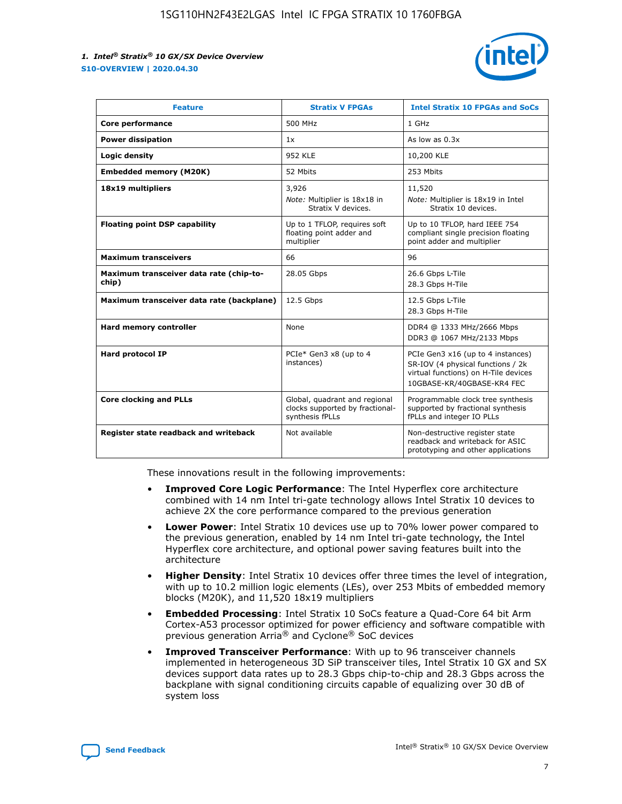

| <b>Feature</b>                                   | <b>Stratix V FPGAs</b>                                                              | <b>Intel Stratix 10 FPGAs and SoCs</b>                                                                                                       |
|--------------------------------------------------|-------------------------------------------------------------------------------------|----------------------------------------------------------------------------------------------------------------------------------------------|
| Core performance                                 | 500 MHz                                                                             | 1 GHz                                                                                                                                        |
| <b>Power dissipation</b>                         | 1x                                                                                  | As low as $0.3x$                                                                                                                             |
| Logic density                                    | <b>952 KLE</b>                                                                      | 10,200 KLE                                                                                                                                   |
| <b>Embedded memory (M20K)</b>                    | 52 Mbits                                                                            | 253 Mbits                                                                                                                                    |
| 18x19 multipliers                                | 3,926                                                                               | 11,520                                                                                                                                       |
|                                                  | Note: Multiplier is 18x18 in<br>Stratix V devices.                                  | Note: Multiplier is 18x19 in Intel<br>Stratix 10 devices.                                                                                    |
| <b>Floating point DSP capability</b>             | Up to 1 TFLOP, requires soft<br>floating point adder and<br>multiplier              | Up to 10 TFLOP, hard IEEE 754<br>compliant single precision floating<br>point adder and multiplier                                           |
| <b>Maximum transceivers</b>                      | 66                                                                                  | 96                                                                                                                                           |
| Maximum transceiver data rate (chip-to-<br>chip) | 28.05 Gbps                                                                          | 26.6 Gbps L-Tile<br>28.3 Gbps H-Tile                                                                                                         |
| Maximum transceiver data rate (backplane)        | 12.5 Gbps                                                                           | 12.5 Gbps L-Tile<br>28.3 Gbps H-Tile                                                                                                         |
| Hard memory controller                           | None                                                                                | DDR4 @ 1333 MHz/2666 Mbps<br>DDR3 @ 1067 MHz/2133 Mbps                                                                                       |
| Hard protocol IP                                 | PCIe* Gen3 x8 (up to 4<br>instances)                                                | PCIe Gen3 x16 (up to 4 instances)<br>SR-IOV (4 physical functions / 2k<br>virtual functions) on H-Tile devices<br>10GBASE-KR/40GBASE-KR4 FEC |
| <b>Core clocking and PLLs</b>                    | Global, quadrant and regional<br>clocks supported by fractional-<br>synthesis fPLLs | Programmable clock tree synthesis<br>supported by fractional synthesis<br>fPLLs and integer IO PLLs                                          |
| Register state readback and writeback            | Not available                                                                       | Non-destructive register state<br>readback and writeback for ASIC<br>prototyping and other applications                                      |

These innovations result in the following improvements:

- **Improved Core Logic Performance**: The Intel Hyperflex core architecture combined with 14 nm Intel tri-gate technology allows Intel Stratix 10 devices to achieve 2X the core performance compared to the previous generation
- **Lower Power**: Intel Stratix 10 devices use up to 70% lower power compared to the previous generation, enabled by 14 nm Intel tri-gate technology, the Intel Hyperflex core architecture, and optional power saving features built into the architecture
- **Higher Density**: Intel Stratix 10 devices offer three times the level of integration, with up to 10.2 million logic elements (LEs), over 253 Mbits of embedded memory blocks (M20K), and 11,520 18x19 multipliers
- **Embedded Processing**: Intel Stratix 10 SoCs feature a Quad-Core 64 bit Arm Cortex-A53 processor optimized for power efficiency and software compatible with previous generation Arria® and Cyclone® SoC devices
- **Improved Transceiver Performance**: With up to 96 transceiver channels implemented in heterogeneous 3D SiP transceiver tiles, Intel Stratix 10 GX and SX devices support data rates up to 28.3 Gbps chip-to-chip and 28.3 Gbps across the backplane with signal conditioning circuits capable of equalizing over 30 dB of system loss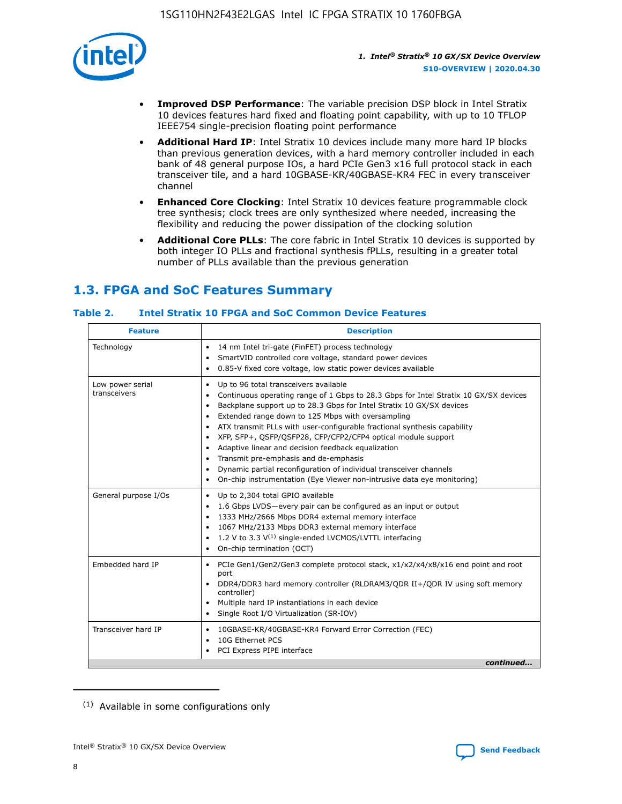

- **Improved DSP Performance**: The variable precision DSP block in Intel Stratix 10 devices features hard fixed and floating point capability, with up to 10 TFLOP IEEE754 single-precision floating point performance
- **Additional Hard IP**: Intel Stratix 10 devices include many more hard IP blocks than previous generation devices, with a hard memory controller included in each bank of 48 general purpose IOs, a hard PCIe Gen3 x16 full protocol stack in each transceiver tile, and a hard 10GBASE-KR/40GBASE-KR4 FEC in every transceiver channel
- **Enhanced Core Clocking**: Intel Stratix 10 devices feature programmable clock tree synthesis; clock trees are only synthesized where needed, increasing the flexibility and reducing the power dissipation of the clocking solution
- **Additional Core PLLs**: The core fabric in Intel Stratix 10 devices is supported by both integer IO PLLs and fractional synthesis fPLLs, resulting in a greater total number of PLLs available than the previous generation

# **1.3. FPGA and SoC Features Summary**

## **Table 2. Intel Stratix 10 FPGA and SoC Common Device Features**

|                                  | <b>Description</b><br><b>Feature</b>                                                                                                                                                                                                                                                                                                                                                                                                                                                                                                                                                                                                                                                                                       |  |  |  |
|----------------------------------|----------------------------------------------------------------------------------------------------------------------------------------------------------------------------------------------------------------------------------------------------------------------------------------------------------------------------------------------------------------------------------------------------------------------------------------------------------------------------------------------------------------------------------------------------------------------------------------------------------------------------------------------------------------------------------------------------------------------------|--|--|--|
| Technology                       | 14 nm Intel tri-gate (FinFET) process technology<br>$\bullet$<br>SmartVID controlled core voltage, standard power devices<br>0.85-V fixed core voltage, low static power devices available<br>$\bullet$                                                                                                                                                                                                                                                                                                                                                                                                                                                                                                                    |  |  |  |
| Low power serial<br>transceivers | Up to 96 total transceivers available<br>$\bullet$<br>Continuous operating range of 1 Gbps to 28.3 Gbps for Intel Stratix 10 GX/SX devices<br>Backplane support up to 28.3 Gbps for Intel Stratix 10 GX/SX devices<br>$\bullet$<br>Extended range down to 125 Mbps with oversampling<br>ATX transmit PLLs with user-configurable fractional synthesis capability<br>$\bullet$<br>• XFP, SFP+, QSFP/QSFP28, CFP/CFP2/CFP4 optical module support<br>• Adaptive linear and decision feedback equalization<br>Transmit pre-emphasis and de-emphasis<br>Dynamic partial reconfiguration of individual transceiver channels<br>$\bullet$<br>On-chip instrumentation (Eye Viewer non-intrusive data eye monitoring)<br>$\bullet$ |  |  |  |
| General purpose I/Os             | Up to 2,304 total GPIO available<br>$\bullet$<br>1.6 Gbps LVDS-every pair can be configured as an input or output<br>$\bullet$<br>1333 MHz/2666 Mbps DDR4 external memory interface<br>1067 MHz/2133 Mbps DDR3 external memory interface<br>• 1.2 V to 3.3 $V^{(1)}$ single-ended LVCMOS/LVTTL interfacing<br>On-chip termination (OCT)<br>$\bullet$                                                                                                                                                                                                                                                                                                                                                                       |  |  |  |
| Embedded hard IP                 | PCIe Gen1/Gen2/Gen3 complete protocol stack, x1/x2/x4/x8/x16 end point and root<br>$\bullet$<br>port<br>DDR4/DDR3 hard memory controller (RLDRAM3/QDR II+/QDR IV using soft memory<br>controller)<br>• Multiple hard IP instantiations in each device<br>• Single Root I/O Virtualization (SR-IOV)                                                                                                                                                                                                                                                                                                                                                                                                                         |  |  |  |
| Transceiver hard IP              | 10GBASE-KR/40GBASE-KR4 Forward Error Correction (FEC)<br>$\bullet$<br>10G Ethernet PCS<br>$\bullet$<br>PCI Express PIPE interface<br>$\bullet$<br>continued                                                                                                                                                                                                                                                                                                                                                                                                                                                                                                                                                                |  |  |  |

<sup>(1)</sup> Available in some configurations only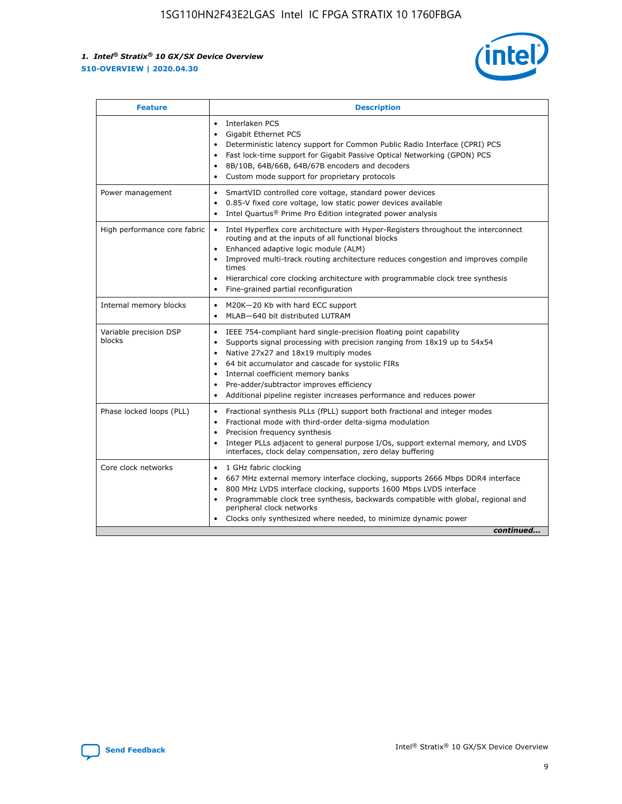

| <b>Feature</b>                   | <b>Description</b>                                                                                                                                                                                                                                                                                                                                                                                                                                                    |
|----------------------------------|-----------------------------------------------------------------------------------------------------------------------------------------------------------------------------------------------------------------------------------------------------------------------------------------------------------------------------------------------------------------------------------------------------------------------------------------------------------------------|
|                                  | Interlaken PCS<br>$\bullet$<br>Gigabit Ethernet PCS<br>$\bullet$<br>Deterministic latency support for Common Public Radio Interface (CPRI) PCS<br>$\bullet$<br>Fast lock-time support for Gigabit Passive Optical Networking (GPON) PCS<br>$\bullet$<br>8B/10B, 64B/66B, 64B/67B encoders and decoders<br>$\bullet$<br>Custom mode support for proprietary protocols<br>$\bullet$                                                                                     |
| Power management                 | SmartVID controlled core voltage, standard power devices<br>$\bullet$<br>0.85-V fixed core voltage, low static power devices available<br>$\bullet$<br>Intel Quartus <sup>®</sup> Prime Pro Edition integrated power analysis<br>$\bullet$                                                                                                                                                                                                                            |
| High performance core fabric     | Intel Hyperflex core architecture with Hyper-Registers throughout the interconnect<br>$\bullet$<br>routing and at the inputs of all functional blocks<br>Enhanced adaptive logic module (ALM)<br>$\bullet$<br>Improved multi-track routing architecture reduces congestion and improves compile<br>times<br>Hierarchical core clocking architecture with programmable clock tree synthesis<br>Fine-grained partial reconfiguration                                    |
| Internal memory blocks           | M20K-20 Kb with hard ECC support<br>٠<br>MLAB-640 bit distributed LUTRAM<br>$\bullet$                                                                                                                                                                                                                                                                                                                                                                                 |
| Variable precision DSP<br>blocks | IEEE 754-compliant hard single-precision floating point capability<br>$\bullet$<br>Supports signal processing with precision ranging from 18x19 up to 54x54<br>$\bullet$<br>Native 27x27 and 18x19 multiply modes<br>$\bullet$<br>64 bit accumulator and cascade for systolic FIRs<br>Internal coefficient memory banks<br>Pre-adder/subtractor improves efficiency<br>$\bullet$<br>Additional pipeline register increases performance and reduces power<br>$\bullet$ |
| Phase locked loops (PLL)         | Fractional synthesis PLLs (fPLL) support both fractional and integer modes<br>$\bullet$<br>Fractional mode with third-order delta-sigma modulation<br>Precision frequency synthesis<br>$\bullet$<br>Integer PLLs adjacent to general purpose I/Os, support external memory, and LVDS<br>$\bullet$<br>interfaces, clock delay compensation, zero delay buffering                                                                                                       |
| Core clock networks              | 1 GHz fabric clocking<br>$\bullet$<br>667 MHz external memory interface clocking, supports 2666 Mbps DDR4 interface<br>$\bullet$<br>800 MHz LVDS interface clocking, supports 1600 Mbps LVDS interface<br>$\bullet$<br>Programmable clock tree synthesis, backwards compatible with global, regional and<br>$\bullet$<br>peripheral clock networks<br>Clocks only synthesized where needed, to minimize dynamic power<br>continued                                    |

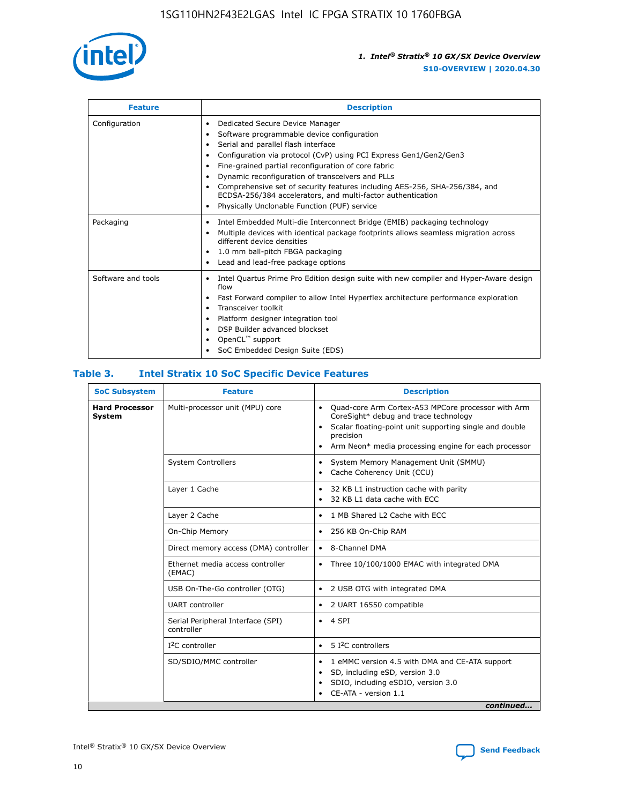

| <b>Feature</b>     | <b>Description</b>                                                                                                                                                                                                                                                                                                                                                                                                                                                                                                                                                   |
|--------------------|----------------------------------------------------------------------------------------------------------------------------------------------------------------------------------------------------------------------------------------------------------------------------------------------------------------------------------------------------------------------------------------------------------------------------------------------------------------------------------------------------------------------------------------------------------------------|
| Configuration      | Dedicated Secure Device Manager<br>$\bullet$<br>Software programmable device configuration<br>٠<br>Serial and parallel flash interface<br>٠<br>Configuration via protocol (CvP) using PCI Express Gen1/Gen2/Gen3<br>٠<br>Fine-grained partial reconfiguration of core fabric<br>$\bullet$<br>Dynamic reconfiguration of transceivers and PLLs<br>$\bullet$<br>Comprehensive set of security features including AES-256, SHA-256/384, and<br>ECDSA-256/384 accelerators, and multi-factor authentication<br>Physically Unclonable Function (PUF) service<br>$\bullet$ |
| Packaging          | Intel Embedded Multi-die Interconnect Bridge (EMIB) packaging technology<br>٠<br>Multiple devices with identical package footprints allows seamless migration across<br>$\bullet$<br>different device densities<br>1.0 mm ball-pitch FBGA packaging<br>$\bullet$<br>Lead and lead-free package options                                                                                                                                                                                                                                                               |
| Software and tools | Intel Quartus Prime Pro Edition design suite with new compiler and Hyper-Aware design<br>flow<br>Fast Forward compiler to allow Intel Hyperflex architecture performance exploration<br>$\bullet$<br>Transceiver toolkit<br>$\bullet$<br>Platform designer integration tool<br>DSP Builder advanced blockset<br>OpenCL <sup>™</sup> support<br>SoC Embedded Design Suite (EDS)                                                                                                                                                                                       |

## **Table 3. Intel Stratix 10 SoC Specific Device Features**

| <b>SoC Subsystem</b>            | <b>Feature</b>                                  | <b>Description</b>                                                                                                                                                                                                                                         |  |  |
|---------------------------------|-------------------------------------------------|------------------------------------------------------------------------------------------------------------------------------------------------------------------------------------------------------------------------------------------------------------|--|--|
| <b>Hard Processor</b><br>System | Multi-processor unit (MPU) core                 | Quad-core Arm Cortex-A53 MPCore processor with Arm<br>$\bullet$<br>CoreSight* debug and trace technology<br>Scalar floating-point unit supporting single and double<br>٠<br>precision<br>Arm Neon* media processing engine for each processor<br>$\bullet$ |  |  |
|                                 | <b>System Controllers</b>                       | System Memory Management Unit (SMMU)<br>٠<br>Cache Coherency Unit (CCU)<br>$\bullet$                                                                                                                                                                       |  |  |
|                                 | Layer 1 Cache                                   | 32 KB L1 instruction cache with parity<br>٠<br>32 KB L1 data cache with ECC<br>$\bullet$                                                                                                                                                                   |  |  |
|                                 | Layer 2 Cache                                   | 1 MB Shared L2 Cache with ECC<br>$\bullet$                                                                                                                                                                                                                 |  |  |
|                                 | On-Chip Memory                                  | 256 KB On-Chip RAM<br>$\bullet$                                                                                                                                                                                                                            |  |  |
|                                 | Direct memory access (DMA) controller           | 8-Channel DMA<br>$\bullet$                                                                                                                                                                                                                                 |  |  |
|                                 | Ethernet media access controller<br>(EMAC)      | Three 10/100/1000 EMAC with integrated DMA<br>$\bullet$                                                                                                                                                                                                    |  |  |
|                                 | USB On-The-Go controller (OTG)                  | 2 USB OTG with integrated DMA<br>$\bullet$                                                                                                                                                                                                                 |  |  |
|                                 | <b>UART</b> controller                          | 2 UART 16550 compatible<br>$\bullet$                                                                                                                                                                                                                       |  |  |
|                                 | Serial Peripheral Interface (SPI)<br>controller | $\bullet$ 4 SPI                                                                                                                                                                                                                                            |  |  |
|                                 | $I2C$ controller                                | 5 I <sup>2</sup> C controllers<br>$\bullet$                                                                                                                                                                                                                |  |  |
|                                 | SD/SDIO/MMC controller                          | 1 eMMC version 4.5 with DMA and CE-ATA support<br>$\bullet$<br>SD, including eSD, version 3.0<br>٠<br>SDIO, including eSDIO, version 3.0<br>CE-ATA - version 1.1<br>continued                                                                              |  |  |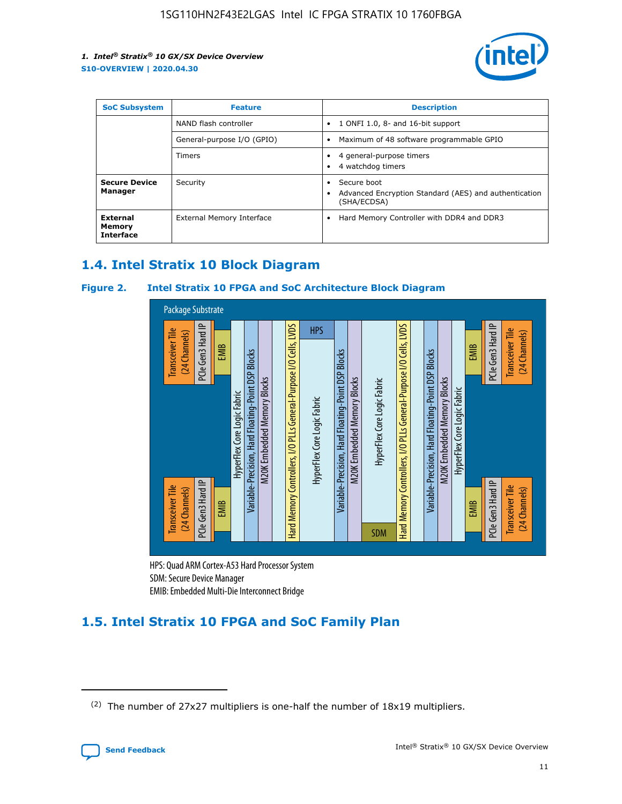

| <b>SoC Subsystem</b>                   | <b>Feature</b>             | <b>Description</b>                                                                                    |  |  |
|----------------------------------------|----------------------------|-------------------------------------------------------------------------------------------------------|--|--|
|                                        | NAND flash controller      | 1 ONFI 1.0, 8- and 16-bit support<br>$\bullet$                                                        |  |  |
|                                        | General-purpose I/O (GPIO) | Maximum of 48 software programmable GPIO<br>$\bullet$                                                 |  |  |
|                                        | Timers                     | 4 general-purpose timers<br>4 watchdog timers<br>٠                                                    |  |  |
| <b>Secure Device</b><br>Manager        | Security                   | Secure boot<br>$\bullet$<br>Advanced Encryption Standard (AES) and authentication<br>٠<br>(SHA/ECDSA) |  |  |
| External<br>Memory<br><b>Interface</b> | External Memory Interface  | Hard Memory Controller with DDR4 and DDR3<br>$\bullet$                                                |  |  |

## **1.4. Intel Stratix 10 Block Diagram**

## **Figure 2. Intel Stratix 10 FPGA and SoC Architecture Block Diagram**



HPS: Quad ARM Cortex-A53 Hard Processor System SDM: Secure Device Manager

# **1.5. Intel Stratix 10 FPGA and SoC Family Plan**

<sup>(2)</sup> The number of 27x27 multipliers is one-half the number of 18x19 multipliers.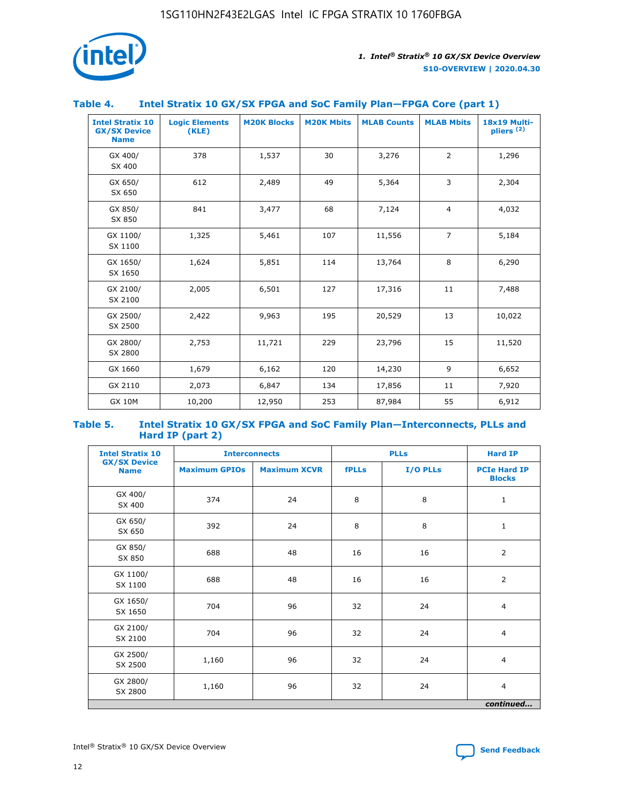

## **Table 4. Intel Stratix 10 GX/SX FPGA and SoC Family Plan—FPGA Core (part 1)**

| <b>Intel Stratix 10</b><br><b>GX/SX Device</b><br><b>Name</b> | <b>Logic Elements</b><br>(KLE) | <b>M20K Blocks</b> | <b>M20K Mbits</b> | <b>MLAB Counts</b> | <b>MLAB Mbits</b> | <b>18x19 Multi-</b><br>pliers <sup>(2)</sup> |
|---------------------------------------------------------------|--------------------------------|--------------------|-------------------|--------------------|-------------------|----------------------------------------------|
| GX 400/<br>SX 400                                             | 378                            | 1,537              | 30                | 3,276              | 2                 | 1,296                                        |
| GX 650/<br>SX 650                                             | 612                            | 2,489              | 49                | 5,364              | 3                 | 2,304                                        |
| GX 850/<br>SX 850                                             | 841                            | 3,477              | 68                | 7,124              | $\overline{4}$    | 4,032                                        |
| GX 1100/<br>SX 1100                                           | 1,325                          | 5,461              | 107               | 11,556             | $\overline{7}$    | 5,184                                        |
| GX 1650/<br>SX 1650                                           | 1,624                          | 5,851              | 114               | 13,764             | 8                 | 6,290                                        |
| GX 2100/<br>SX 2100                                           | 2,005                          | 6,501              | 127               | 17,316             | 11                | 7,488                                        |
| GX 2500/<br>SX 2500                                           | 2,422                          | 9,963              | 195               | 20,529             | 13                | 10,022                                       |
| GX 2800/<br>SX 2800                                           | 2,753                          | 11,721             | 229               | 23,796             | 15                | 11,520                                       |
| GX 1660                                                       | 1,679                          | 6,162              | 120               | 14,230             | 9                 | 6,652                                        |
| GX 2110                                                       | 2,073                          | 6,847              | 134               | 17,856             | 11                | 7,920                                        |
| <b>GX 10M</b>                                                 | 10,200                         | 12,950             | 253               | 87,984             | 55                | 6,912                                        |

#### **Table 5. Intel Stratix 10 GX/SX FPGA and SoC Family Plan—Interconnects, PLLs and Hard IP (part 2)**

| <b>Intel Stratix 10</b>            | <b>Interconnects</b> |                     | <b>PLLs</b>  |          | <b>Hard IP</b>                       |  |
|------------------------------------|----------------------|---------------------|--------------|----------|--------------------------------------|--|
| <b>GX/SX Device</b><br><b>Name</b> | <b>Maximum GPIOs</b> | <b>Maximum XCVR</b> | <b>fPLLs</b> | I/O PLLs | <b>PCIe Hard IP</b><br><b>Blocks</b> |  |
| GX 400/<br>SX 400                  | 374                  | 24                  | 8            | 8        | $\mathbf{1}$                         |  |
| GX 650/<br>SX 650                  | 392                  | 24                  | 8            | 8        | $\mathbf{1}$                         |  |
| GX 850/<br>SX 850                  | 688                  | 48                  | 16           | 16       | 2                                    |  |
| GX 1100/<br>SX 1100                | 688                  | 48                  | 16           | 16       | 2                                    |  |
| GX 1650/<br>SX 1650                | 704                  | 96                  | 32           | 24       | $\overline{4}$                       |  |
| GX 2100/<br>SX 2100                | 704                  | 96                  | 32           | 24       | $\overline{4}$                       |  |
| GX 2500/<br>SX 2500                | 1,160                | 96                  | 32           | 24       | $\overline{4}$                       |  |
| GX 2800/<br>SX 2800                | 1,160                | 96                  | 32           | 24       | $\overline{4}$                       |  |
| continued                          |                      |                     |              |          |                                      |  |

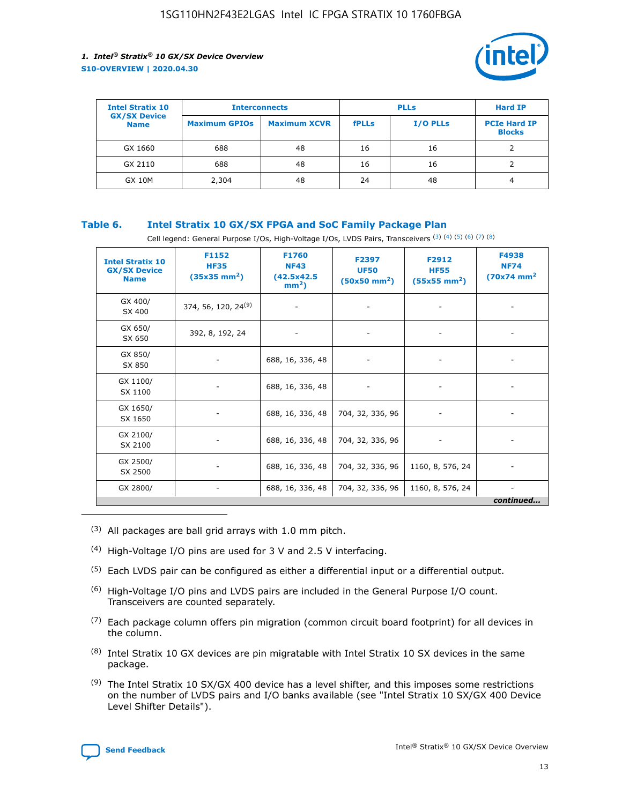

| <b>Intel Stratix 10</b>            | <b>Interconnects</b> |                     |              | <b>Hard IP</b> |                                      |
|------------------------------------|----------------------|---------------------|--------------|----------------|--------------------------------------|
| <b>GX/SX Device</b><br><b>Name</b> | <b>Maximum GPIOs</b> | <b>Maximum XCVR</b> | <b>fPLLs</b> | I/O PLLs       | <b>PCIe Hard IP</b><br><b>Blocks</b> |
| GX 1660                            | 688                  | 48                  | 16           | 16             |                                      |
| GX 2110                            | 688                  | 48                  | 16           | 16             |                                      |
| <b>GX 10M</b>                      | 2,304                | 48                  | 24           | 48             | 4                                    |

## **Table 6. Intel Stratix 10 GX/SX FPGA and SoC Family Package Plan**

Cell legend: General Purpose I/Os, High-Voltage I/Os, LVDS Pairs, Transceivers (3) (4) (5) (6) (7) (8)

| <b>Intel Stratix 10</b><br><b>GX/SX Device</b><br><b>Name</b> | F1152<br><b>HF35</b><br>$(35x35 \text{ mm}^2)$ | F1760<br><b>NF43</b><br>(42.5x42.5<br>$mm2$ ) | F2397<br><b>UF50</b><br>$(50x50 \text{ mm}^2)$ | F2912<br><b>HF55</b><br>$(55x55$ mm <sup>2</sup> ) | F4938<br><b>NF74</b><br>$(70x74)$ mm <sup>2</sup> |
|---------------------------------------------------------------|------------------------------------------------|-----------------------------------------------|------------------------------------------------|----------------------------------------------------|---------------------------------------------------|
| GX 400/<br>SX 400                                             | 374, 56, 120, 24 <sup>(9)</sup>                | $\overline{\phantom{a}}$                      | $\overline{\phantom{a}}$                       | ۰                                                  |                                                   |
| GX 650/<br>SX 650                                             | 392, 8, 192, 24                                | $\overline{\phantom{a}}$                      | $\overline{\phantom{a}}$                       |                                                    |                                                   |
| GX 850/<br>SX 850                                             | ۰.                                             | 688, 16, 336, 48                              |                                                |                                                    |                                                   |
| GX 1100/<br>SX 1100                                           |                                                | 688, 16, 336, 48                              |                                                |                                                    |                                                   |
| GX 1650/<br>SX 1650                                           |                                                | 688, 16, 336, 48                              | 704, 32, 336, 96                               |                                                    |                                                   |
| GX 2100/<br>SX 2100                                           | -                                              | 688, 16, 336, 48                              | 704, 32, 336, 96                               | $\overline{\phantom{a}}$                           |                                                   |
| GX 2500/<br>SX 2500                                           |                                                | 688, 16, 336, 48                              | 704, 32, 336, 96                               | 1160, 8, 576, 24                                   |                                                   |
| GX 2800/                                                      | -                                              | 688, 16, 336, 48                              | 704, 32, 336, 96                               | 1160, 8, 576, 24                                   | $\overline{\phantom{a}}$<br>continued             |

- (3) All packages are ball grid arrays with 1.0 mm pitch.
- (4) High-Voltage I/O pins are used for 3 V and 2.5 V interfacing.
- $(5)$  Each LVDS pair can be configured as either a differential input or a differential output.
- (6) High-Voltage I/O pins and LVDS pairs are included in the General Purpose I/O count. Transceivers are counted separately.
- $(7)$  Each package column offers pin migration (common circuit board footprint) for all devices in the column.
- $(8)$  Intel Stratix 10 GX devices are pin migratable with Intel Stratix 10 SX devices in the same package.
- $(9)$  The Intel Stratix 10 SX/GX 400 device has a level shifter, and this imposes some restrictions on the number of LVDS pairs and I/O banks available (see "Intel Stratix 10 SX/GX 400 Device Level Shifter Details").

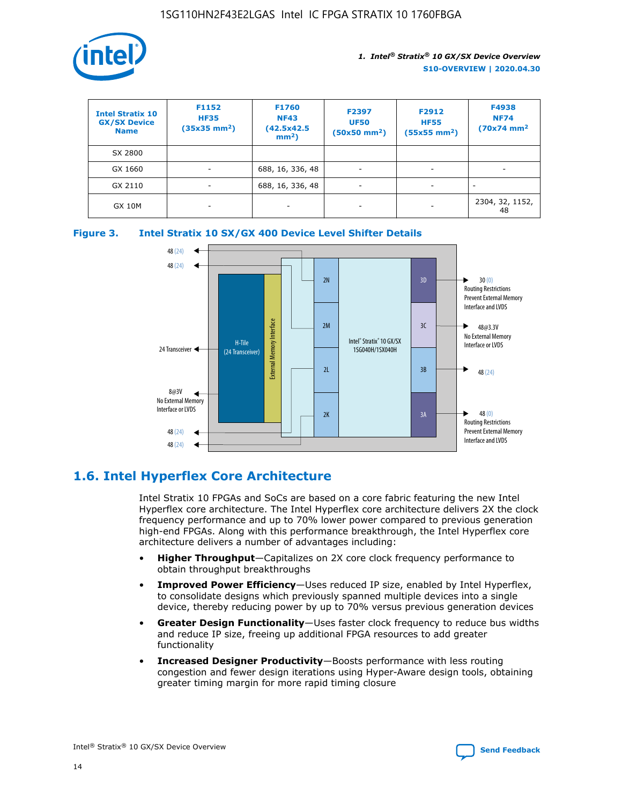

| <b>Intel Stratix 10</b><br><b>GX/SX Device</b><br><b>Name</b> | F1152<br><b>HF35</b><br>$(35x35)$ mm <sup>2</sup> ) | <b>F1760</b><br><b>NF43</b><br>(42.5x42.5<br>$mm2$ ) | F2397<br><b>UF50</b><br>$(50x50 \text{ mm}^2)$ | F2912<br><b>HF55</b><br>$(55x55$ mm <sup>2</sup> ) | F4938<br><b>NF74</b><br>$(70x74)$ mm <sup>2</sup> |
|---------------------------------------------------------------|-----------------------------------------------------|------------------------------------------------------|------------------------------------------------|----------------------------------------------------|---------------------------------------------------|
| SX 2800                                                       |                                                     |                                                      |                                                |                                                    |                                                   |
| GX 1660                                                       | -                                                   | 688, 16, 336, 48                                     | $\overline{\phantom{a}}$                       |                                                    |                                                   |
| GX 2110                                                       |                                                     | 688, 16, 336, 48                                     | $\overline{\phantom{a}}$                       |                                                    |                                                   |
| <b>GX 10M</b>                                                 | ۰                                                   |                                                      |                                                |                                                    | 2304, 32, 1152,<br>48                             |





## **1.6. Intel Hyperflex Core Architecture**

Intel Stratix 10 FPGAs and SoCs are based on a core fabric featuring the new Intel Hyperflex core architecture. The Intel Hyperflex core architecture delivers 2X the clock frequency performance and up to 70% lower power compared to previous generation high-end FPGAs. Along with this performance breakthrough, the Intel Hyperflex core architecture delivers a number of advantages including:

- **Higher Throughput**—Capitalizes on 2X core clock frequency performance to obtain throughput breakthroughs
- **Improved Power Efficiency**—Uses reduced IP size, enabled by Intel Hyperflex, to consolidate designs which previously spanned multiple devices into a single device, thereby reducing power by up to 70% versus previous generation devices
- **Greater Design Functionality**—Uses faster clock frequency to reduce bus widths and reduce IP size, freeing up additional FPGA resources to add greater functionality
- **Increased Designer Productivity**—Boosts performance with less routing congestion and fewer design iterations using Hyper-Aware design tools, obtaining greater timing margin for more rapid timing closure

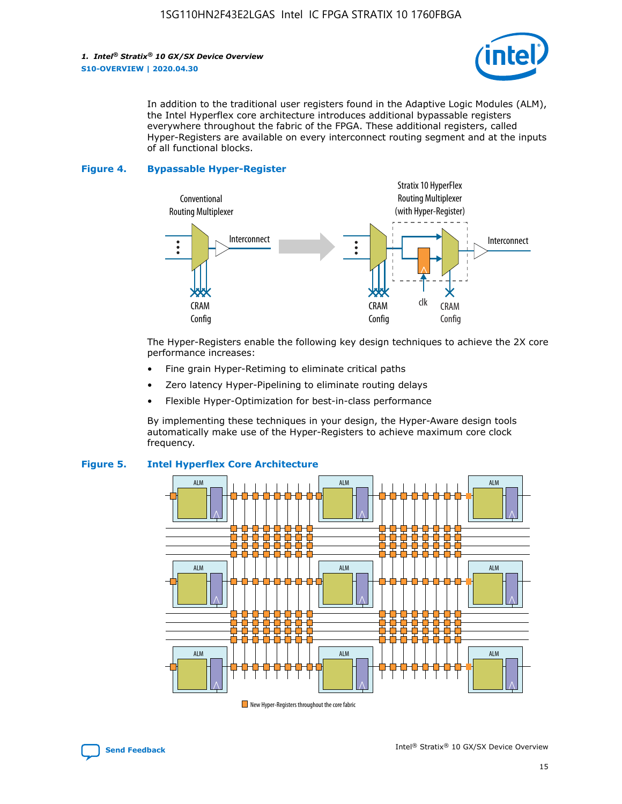

In addition to the traditional user registers found in the Adaptive Logic Modules (ALM), the Intel Hyperflex core architecture introduces additional bypassable registers everywhere throughout the fabric of the FPGA. These additional registers, called Hyper-Registers are available on every interconnect routing segment and at the inputs of all functional blocks.

#### **Figure 4. Bypassable Hyper-Register**



The Hyper-Registers enable the following key design techniques to achieve the 2X core performance increases:

- Fine grain Hyper-Retiming to eliminate critical paths
- Zero latency Hyper-Pipelining to eliminate routing delays
- Flexible Hyper-Optimization for best-in-class performance

By implementing these techniques in your design, the Hyper-Aware design tools automatically make use of the Hyper-Registers to achieve maximum core clock frequency.



## **Figure 5. Intel Hyperflex Core Architecture**

New Hyper-Registers throughout the core fabric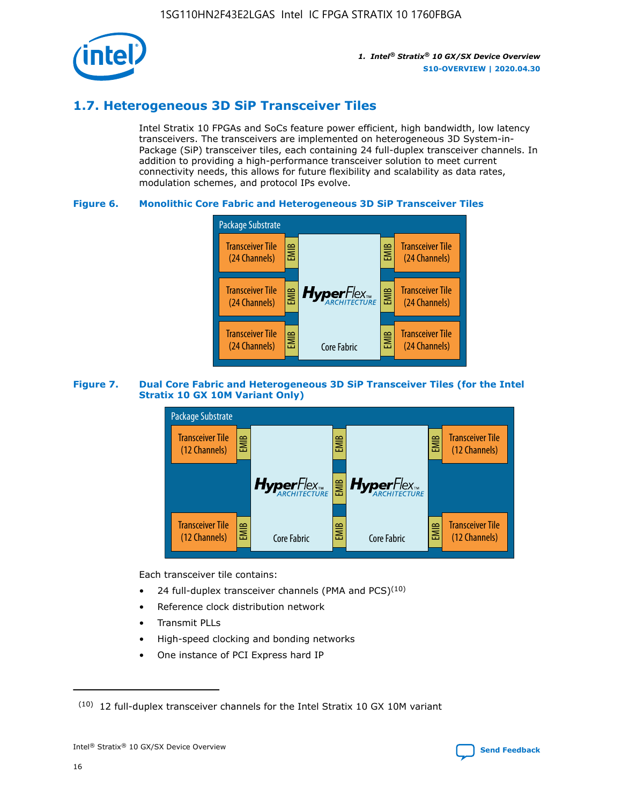

## **1.7. Heterogeneous 3D SiP Transceiver Tiles**

Intel Stratix 10 FPGAs and SoCs feature power efficient, high bandwidth, low latency transceivers. The transceivers are implemented on heterogeneous 3D System-in-Package (SiP) transceiver tiles, each containing 24 full-duplex transceiver channels. In addition to providing a high-performance transceiver solution to meet current connectivity needs, this allows for future flexibility and scalability as data rates, modulation schemes, and protocol IPs evolve.

## **Figure 6. Monolithic Core Fabric and Heterogeneous 3D SiP Transceiver Tiles**



## **Figure 7. Dual Core Fabric and Heterogeneous 3D SiP Transceiver Tiles (for the Intel Stratix 10 GX 10M Variant Only)**



Each transceiver tile contains:

- 24 full-duplex transceiver channels (PMA and PCS) $(10)$
- Reference clock distribution network
- Transmit PLLs
- High-speed clocking and bonding networks
- One instance of PCI Express hard IP

 $(10)$  12 full-duplex transceiver channels for the Intel Stratix 10 GX 10M variant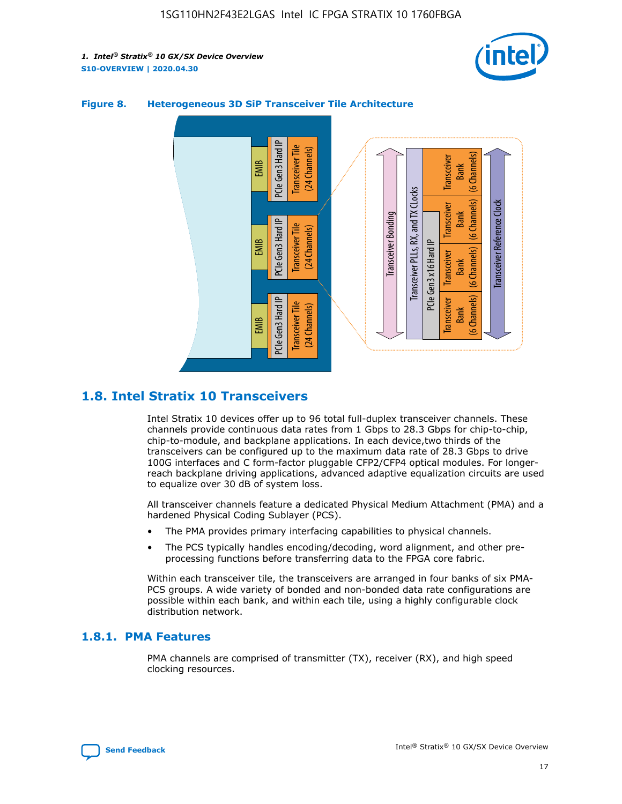



## **Figure 8. Heterogeneous 3D SiP Transceiver Tile Architecture**

## **1.8. Intel Stratix 10 Transceivers**

Intel Stratix 10 devices offer up to 96 total full-duplex transceiver channels. These channels provide continuous data rates from 1 Gbps to 28.3 Gbps for chip-to-chip, chip-to-module, and backplane applications. In each device,two thirds of the transceivers can be configured up to the maximum data rate of 28.3 Gbps to drive 100G interfaces and C form-factor pluggable CFP2/CFP4 optical modules. For longerreach backplane driving applications, advanced adaptive equalization circuits are used to equalize over 30 dB of system loss.

All transceiver channels feature a dedicated Physical Medium Attachment (PMA) and a hardened Physical Coding Sublayer (PCS).

- The PMA provides primary interfacing capabilities to physical channels.
- The PCS typically handles encoding/decoding, word alignment, and other preprocessing functions before transferring data to the FPGA core fabric.

Within each transceiver tile, the transceivers are arranged in four banks of six PMA-PCS groups. A wide variety of bonded and non-bonded data rate configurations are possible within each bank, and within each tile, using a highly configurable clock distribution network.

## **1.8.1. PMA Features**

PMA channels are comprised of transmitter (TX), receiver (RX), and high speed clocking resources.

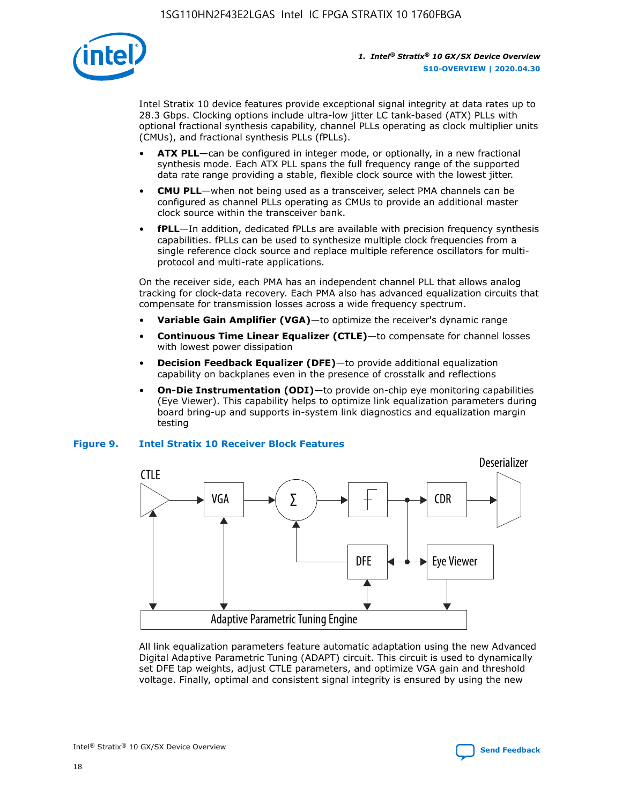

Intel Stratix 10 device features provide exceptional signal integrity at data rates up to 28.3 Gbps. Clocking options include ultra-low jitter LC tank-based (ATX) PLLs with optional fractional synthesis capability, channel PLLs operating as clock multiplier units (CMUs), and fractional synthesis PLLs (fPLLs).

- **ATX PLL**—can be configured in integer mode, or optionally, in a new fractional synthesis mode. Each ATX PLL spans the full frequency range of the supported data rate range providing a stable, flexible clock source with the lowest jitter.
- **CMU PLL**—when not being used as a transceiver, select PMA channels can be configured as channel PLLs operating as CMUs to provide an additional master clock source within the transceiver bank.
- **fPLL**—In addition, dedicated fPLLs are available with precision frequency synthesis capabilities. fPLLs can be used to synthesize multiple clock frequencies from a single reference clock source and replace multiple reference oscillators for multiprotocol and multi-rate applications.

On the receiver side, each PMA has an independent channel PLL that allows analog tracking for clock-data recovery. Each PMA also has advanced equalization circuits that compensate for transmission losses across a wide frequency spectrum.

- **Variable Gain Amplifier (VGA)**—to optimize the receiver's dynamic range
- **Continuous Time Linear Equalizer (CTLE)**—to compensate for channel losses with lowest power dissipation
- **Decision Feedback Equalizer (DFE)**—to provide additional equalization capability on backplanes even in the presence of crosstalk and reflections
- **On-Die Instrumentation (ODI)**—to provide on-chip eye monitoring capabilities (Eye Viewer). This capability helps to optimize link equalization parameters during board bring-up and supports in-system link diagnostics and equalization margin testing

#### **Figure 9. Intel Stratix 10 Receiver Block Features**



All link equalization parameters feature automatic adaptation using the new Advanced Digital Adaptive Parametric Tuning (ADAPT) circuit. This circuit is used to dynamically set DFE tap weights, adjust CTLE parameters, and optimize VGA gain and threshold voltage. Finally, optimal and consistent signal integrity is ensured by using the new



Intel<sup>®</sup> Stratix<sup>®</sup> 10 GX/SX Device Overview **[Send Feedback](mailto:FPGAtechdocfeedback@intel.com?subject=Feedback%20on%20Intel%20Stratix%2010%20GX/SX%20Device%20Overview%20(S10-OVERVIEW%202020.04.30)&body=We%20appreciate%20your%20feedback.%20In%20your%20comments,%20also%20specify%20the%20page%20number%20or%20paragraph.%20Thank%20you.)** Send Feedback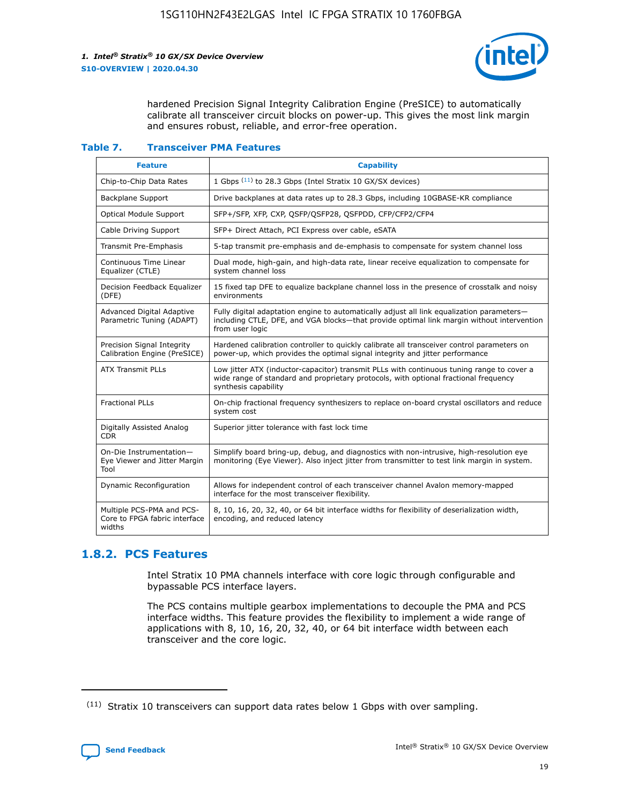

hardened Precision Signal Integrity Calibration Engine (PreSICE) to automatically calibrate all transceiver circuit blocks on power-up. This gives the most link margin and ensures robust, reliable, and error-free operation.

#### **Table 7. Transceiver PMA Features**

| <b>Feature</b>                                                       | <b>Capability</b>                                                                                                                                                                                         |
|----------------------------------------------------------------------|-----------------------------------------------------------------------------------------------------------------------------------------------------------------------------------------------------------|
| Chip-to-Chip Data Rates                                              | 1 Gbps (11) to 28.3 Gbps (Intel Stratix 10 GX/SX devices)                                                                                                                                                 |
| <b>Backplane Support</b>                                             | Drive backplanes at data rates up to 28.3 Gbps, including 10GBASE-KR compliance                                                                                                                           |
| Optical Module Support                                               | SFP+/SFP, XFP, CXP, QSFP/QSFP28, QSFPDD, CFP/CFP2/CFP4                                                                                                                                                    |
| Cable Driving Support                                                | SFP+ Direct Attach, PCI Express over cable, eSATA                                                                                                                                                         |
| <b>Transmit Pre-Emphasis</b>                                         | 5-tap transmit pre-emphasis and de-emphasis to compensate for system channel loss                                                                                                                         |
| Continuous Time Linear<br>Equalizer (CTLE)                           | Dual mode, high-gain, and high-data rate, linear receive equalization to compensate for<br>system channel loss                                                                                            |
| Decision Feedback Equalizer<br>(DFE)                                 | 15 fixed tap DFE to equalize backplane channel loss in the presence of crosstalk and noisy<br>environments                                                                                                |
| Advanced Digital Adaptive<br>Parametric Tuning (ADAPT)               | Fully digital adaptation engine to automatically adjust all link equalization parameters-<br>including CTLE, DFE, and VGA blocks-that provide optimal link margin without intervention<br>from user logic |
| Precision Signal Integrity<br>Calibration Engine (PreSICE)           | Hardened calibration controller to quickly calibrate all transceiver control parameters on<br>power-up, which provides the optimal signal integrity and jitter performance                                |
| <b>ATX Transmit PLLs</b>                                             | Low jitter ATX (inductor-capacitor) transmit PLLs with continuous tuning range to cover a<br>wide range of standard and proprietary protocols, with optional fractional frequency<br>synthesis capability |
| <b>Fractional PLLs</b>                                               | On-chip fractional frequency synthesizers to replace on-board crystal oscillators and reduce<br>system cost                                                                                               |
| Digitally Assisted Analog<br>CDR.                                    | Superior jitter tolerance with fast lock time                                                                                                                                                             |
| On-Die Instrumentation-<br>Eye Viewer and Jitter Margin<br>Tool      | Simplify board bring-up, debug, and diagnostics with non-intrusive, high-resolution eye<br>monitoring (Eye Viewer). Also inject jitter from transmitter to test link margin in system.                    |
| Dynamic Reconfiguration                                              | Allows for independent control of each transceiver channel Avalon memory-mapped<br>interface for the most transceiver flexibility.                                                                        |
| Multiple PCS-PMA and PCS-<br>Core to FPGA fabric interface<br>widths | 8, 10, 16, 20, 32, 40, or 64 bit interface widths for flexibility of deserialization width,<br>encoding, and reduced latency                                                                              |

## **1.8.2. PCS Features**

Intel Stratix 10 PMA channels interface with core logic through configurable and bypassable PCS interface layers.

The PCS contains multiple gearbox implementations to decouple the PMA and PCS interface widths. This feature provides the flexibility to implement a wide range of applications with 8, 10, 16, 20, 32, 40, or 64 bit interface width between each transceiver and the core logic.

 $(11)$  Stratix 10 transceivers can support data rates below 1 Gbps with over sampling.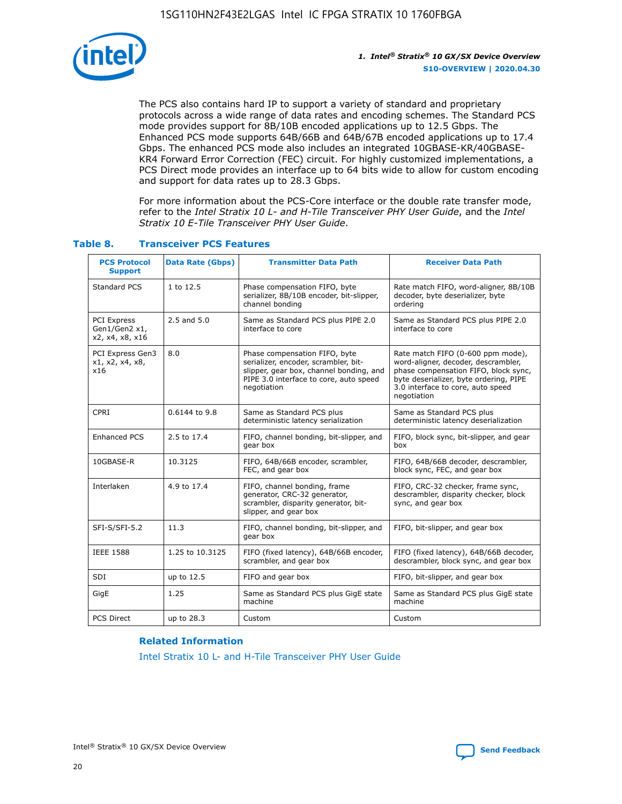

The PCS also contains hard IP to support a variety of standard and proprietary protocols across a wide range of data rates and encoding schemes. The Standard PCS mode provides support for 8B/10B encoded applications up to 12.5 Gbps. The Enhanced PCS mode supports 64B/66B and 64B/67B encoded applications up to 17.4 Gbps. The enhanced PCS mode also includes an integrated 10GBASE-KR/40GBASE-KR4 Forward Error Correction (FEC) circuit. For highly customized implementations, a PCS Direct mode provides an interface up to 64 bits wide to allow for custom encoding and support for data rates up to 28.3 Gbps.

For more information about the PCS-Core interface or the double rate transfer mode, refer to the *Intel Stratix 10 L- and H-Tile Transceiver PHY User Guide*, and the *Intel Stratix 10 E-Tile Transceiver PHY User Guide*.

| <b>PCS Protocol</b><br><b>Support</b>           | <b>Data Rate (Gbps)</b> | <b>Transmitter Data Path</b>                                                                                                                                              | <b>Receiver Data Path</b>                                                                                                                                                                                      |
|-------------------------------------------------|-------------------------|---------------------------------------------------------------------------------------------------------------------------------------------------------------------------|----------------------------------------------------------------------------------------------------------------------------------------------------------------------------------------------------------------|
| Standard PCS                                    | 1 to 12.5               | Phase compensation FIFO, byte<br>serializer, 8B/10B encoder, bit-slipper,<br>channel bonding                                                                              | Rate match FIFO, word-aligner, 8B/10B<br>decoder, byte deserializer, byte<br>ordering                                                                                                                          |
| PCI Express<br>Gen1/Gen2 x1,<br>x2, x4, x8, x16 | $2.5$ and $5.0$         | Same as Standard PCS plus PIPE 2.0<br>interface to core                                                                                                                   | Same as Standard PCS plus PIPE 2.0<br>interface to core                                                                                                                                                        |
| PCI Express Gen3<br>x1, x2, x4, x8,<br>x16      | 8.0                     | Phase compensation FIFO, byte<br>serializer, encoder, scrambler, bit-<br>slipper, gear box, channel bonding, and<br>PIPE 3.0 interface to core, auto speed<br>negotiation | Rate match FIFO (0-600 ppm mode),<br>word-aligner, decoder, descrambler,<br>phase compensation FIFO, block sync,<br>byte deserializer, byte ordering, PIPE<br>3.0 interface to core, auto speed<br>negotiation |
| CPRI                                            | 0.6144 to 9.8           | Same as Standard PCS plus<br>deterministic latency serialization                                                                                                          | Same as Standard PCS plus<br>deterministic latency deserialization                                                                                                                                             |
| <b>Enhanced PCS</b>                             | 2.5 to 17.4             | FIFO, channel bonding, bit-slipper, and<br>gear box                                                                                                                       | FIFO, block sync, bit-slipper, and gear<br>box                                                                                                                                                                 |
| 10GBASE-R                                       | 10.3125                 | FIFO, 64B/66B encoder, scrambler,<br>FEC, and gear box                                                                                                                    | FIFO, 64B/66B decoder, descrambler,<br>block sync, FEC, and gear box                                                                                                                                           |
| Interlaken                                      | 4.9 to 17.4             | FIFO, channel bonding, frame<br>generator, CRC-32 generator,<br>scrambler, disparity generator, bit-<br>slipper, and gear box                                             | FIFO, CRC-32 checker, frame sync,<br>descrambler, disparity checker, block<br>sync, and gear box                                                                                                               |
| SFI-S/SFI-5.2                                   | 11.3                    | FIFO, channel bonding, bit-slipper, and<br>gear box                                                                                                                       | FIFO, bit-slipper, and gear box                                                                                                                                                                                |
| <b>IEEE 1588</b>                                | 1.25 to 10.3125         | FIFO (fixed latency), 64B/66B encoder,<br>scrambler, and gear box                                                                                                         | FIFO (fixed latency), 64B/66B decoder,<br>descrambler, block sync, and gear box                                                                                                                                |
| SDI                                             | up to 12.5              | FIFO and gear box                                                                                                                                                         | FIFO, bit-slipper, and gear box                                                                                                                                                                                |
| GigE                                            | 1.25                    | Same as Standard PCS plus GigE state<br>machine                                                                                                                           | Same as Standard PCS plus GigE state<br>machine                                                                                                                                                                |
| <b>PCS Direct</b>                               | up to 28.3              | Custom                                                                                                                                                                    | Custom                                                                                                                                                                                                         |

## **Table 8. Transceiver PCS Features**

#### **Related Information**

[Intel Stratix 10 L- and H-Tile Transceiver PHY User Guide](https://www.altera.com/documentation/wry1479165198810.html)

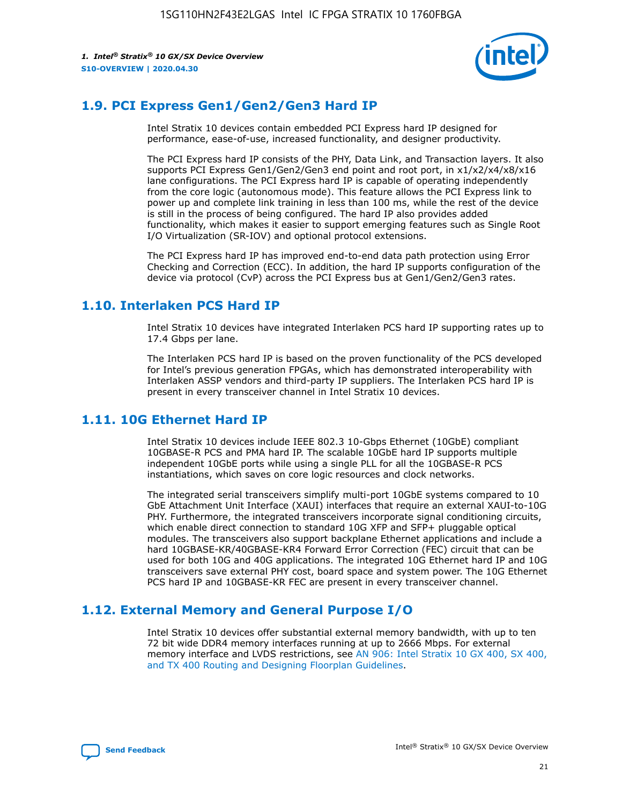

## **1.9. PCI Express Gen1/Gen2/Gen3 Hard IP**

Intel Stratix 10 devices contain embedded PCI Express hard IP designed for performance, ease-of-use, increased functionality, and designer productivity.

The PCI Express hard IP consists of the PHY, Data Link, and Transaction layers. It also supports PCI Express Gen1/Gen2/Gen3 end point and root port, in x1/x2/x4/x8/x16 lane configurations. The PCI Express hard IP is capable of operating independently from the core logic (autonomous mode). This feature allows the PCI Express link to power up and complete link training in less than 100 ms, while the rest of the device is still in the process of being configured. The hard IP also provides added functionality, which makes it easier to support emerging features such as Single Root I/O Virtualization (SR-IOV) and optional protocol extensions.

The PCI Express hard IP has improved end-to-end data path protection using Error Checking and Correction (ECC). In addition, the hard IP supports configuration of the device via protocol (CvP) across the PCI Express bus at Gen1/Gen2/Gen3 rates.

## **1.10. Interlaken PCS Hard IP**

Intel Stratix 10 devices have integrated Interlaken PCS hard IP supporting rates up to 17.4 Gbps per lane.

The Interlaken PCS hard IP is based on the proven functionality of the PCS developed for Intel's previous generation FPGAs, which has demonstrated interoperability with Interlaken ASSP vendors and third-party IP suppliers. The Interlaken PCS hard IP is present in every transceiver channel in Intel Stratix 10 devices.

## **1.11. 10G Ethernet Hard IP**

Intel Stratix 10 devices include IEEE 802.3 10-Gbps Ethernet (10GbE) compliant 10GBASE-R PCS and PMA hard IP. The scalable 10GbE hard IP supports multiple independent 10GbE ports while using a single PLL for all the 10GBASE-R PCS instantiations, which saves on core logic resources and clock networks.

The integrated serial transceivers simplify multi-port 10GbE systems compared to 10 GbE Attachment Unit Interface (XAUI) interfaces that require an external XAUI-to-10G PHY. Furthermore, the integrated transceivers incorporate signal conditioning circuits, which enable direct connection to standard 10G XFP and SFP+ pluggable optical modules. The transceivers also support backplane Ethernet applications and include a hard 10GBASE-KR/40GBASE-KR4 Forward Error Correction (FEC) circuit that can be used for both 10G and 40G applications. The integrated 10G Ethernet hard IP and 10G transceivers save external PHY cost, board space and system power. The 10G Ethernet PCS hard IP and 10GBASE-KR FEC are present in every transceiver channel.

## **1.12. External Memory and General Purpose I/O**

Intel Stratix 10 devices offer substantial external memory bandwidth, with up to ten 72 bit wide DDR4 memory interfaces running at up to 2666 Mbps. For external memory interface and LVDS restrictions, see [AN 906: Intel Stratix 10 GX 400, SX 400,](https://www.intel.com/content/www/us/en/programmable/documentation/sjf1574667190623.html#bft1574667627484) [and TX 400 Routing and Designing Floorplan Guidelines.](https://www.intel.com/content/www/us/en/programmable/documentation/sjf1574667190623.html#bft1574667627484)

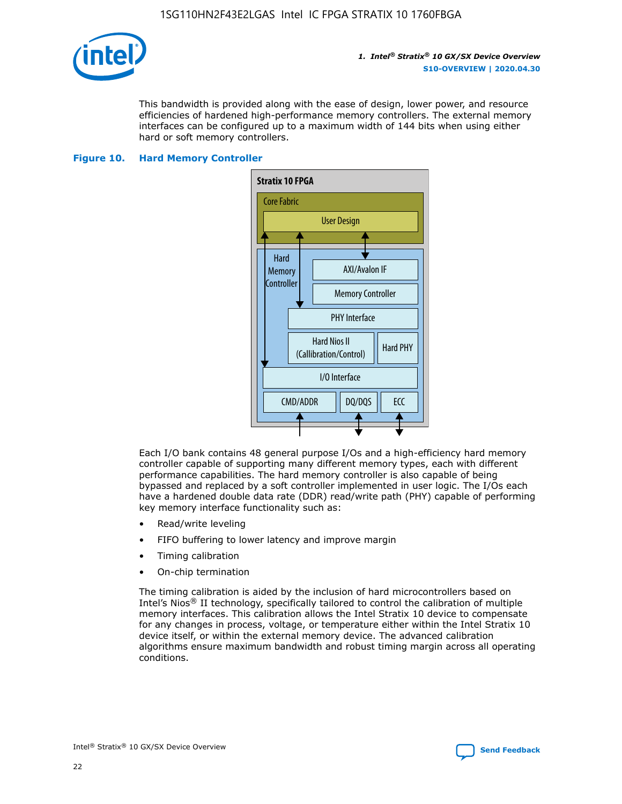

This bandwidth is provided along with the ease of design, lower power, and resource efficiencies of hardened high-performance memory controllers. The external memory interfaces can be configured up to a maximum width of 144 bits when using either hard or soft memory controllers.

#### **Figure 10. Hard Memory Controller**



Each I/O bank contains 48 general purpose I/Os and a high-efficiency hard memory controller capable of supporting many different memory types, each with different performance capabilities. The hard memory controller is also capable of being bypassed and replaced by a soft controller implemented in user logic. The I/Os each have a hardened double data rate (DDR) read/write path (PHY) capable of performing key memory interface functionality such as:

- Read/write leveling
- FIFO buffering to lower latency and improve margin
- Timing calibration
- On-chip termination

The timing calibration is aided by the inclusion of hard microcontrollers based on Intel's Nios® II technology, specifically tailored to control the calibration of multiple memory interfaces. This calibration allows the Intel Stratix 10 device to compensate for any changes in process, voltage, or temperature either within the Intel Stratix 10 device itself, or within the external memory device. The advanced calibration algorithms ensure maximum bandwidth and robust timing margin across all operating conditions.

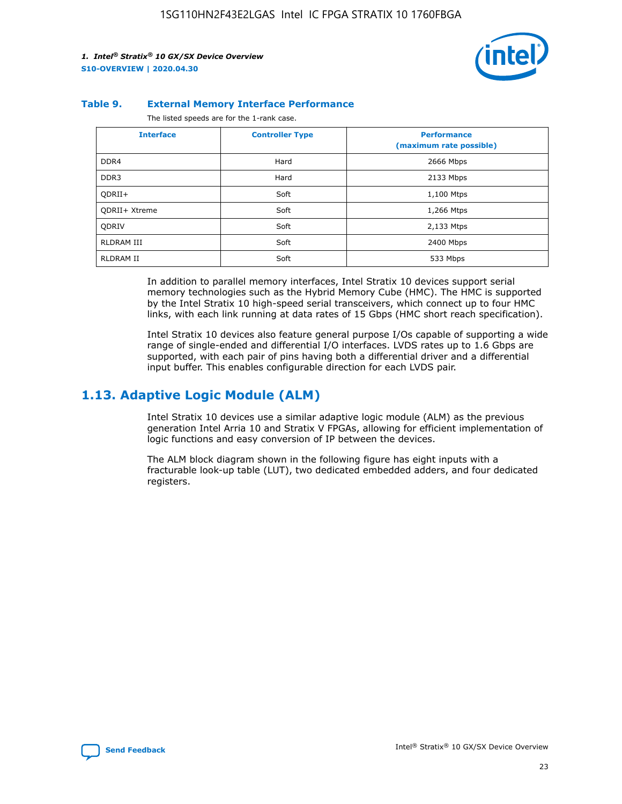

#### **Table 9. External Memory Interface Performance**

The listed speeds are for the 1-rank case.

| <b>Interface</b>     | <b>Controller Type</b> | <b>Performance</b><br>(maximum rate possible) |
|----------------------|------------------------|-----------------------------------------------|
| DDR4                 | Hard                   | 2666 Mbps                                     |
| DDR <sub>3</sub>     | Hard                   | 2133 Mbps                                     |
| QDRII+               | Soft                   | 1,100 Mtps                                    |
| <b>ODRII+ Xtreme</b> | Soft                   | 1,266 Mtps                                    |
| <b>ODRIV</b>         | Soft                   | 2,133 Mtps                                    |
| RLDRAM III           | Soft                   | 2400 Mbps                                     |
| <b>RLDRAM II</b>     | Soft                   | 533 Mbps                                      |

In addition to parallel memory interfaces, Intel Stratix 10 devices support serial memory technologies such as the Hybrid Memory Cube (HMC). The HMC is supported by the Intel Stratix 10 high-speed serial transceivers, which connect up to four HMC links, with each link running at data rates of 15 Gbps (HMC short reach specification).

Intel Stratix 10 devices also feature general purpose I/Os capable of supporting a wide range of single-ended and differential I/O interfaces. LVDS rates up to 1.6 Gbps are supported, with each pair of pins having both a differential driver and a differential input buffer. This enables configurable direction for each LVDS pair.

## **1.13. Adaptive Logic Module (ALM)**

Intel Stratix 10 devices use a similar adaptive logic module (ALM) as the previous generation Intel Arria 10 and Stratix V FPGAs, allowing for efficient implementation of logic functions and easy conversion of IP between the devices.

The ALM block diagram shown in the following figure has eight inputs with a fracturable look-up table (LUT), two dedicated embedded adders, and four dedicated registers.

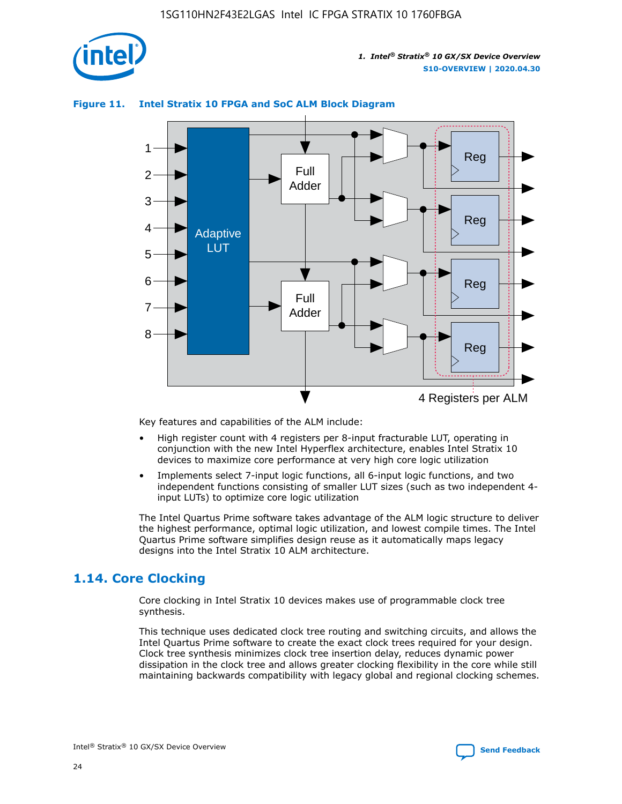

## **Figure 11. Intel Stratix 10 FPGA and SoC ALM Block Diagram**



Key features and capabilities of the ALM include:

- High register count with 4 registers per 8-input fracturable LUT, operating in conjunction with the new Intel Hyperflex architecture, enables Intel Stratix 10 devices to maximize core performance at very high core logic utilization
- Implements select 7-input logic functions, all 6-input logic functions, and two independent functions consisting of smaller LUT sizes (such as two independent 4 input LUTs) to optimize core logic utilization

The Intel Quartus Prime software takes advantage of the ALM logic structure to deliver the highest performance, optimal logic utilization, and lowest compile times. The Intel Quartus Prime software simplifies design reuse as it automatically maps legacy designs into the Intel Stratix 10 ALM architecture.

## **1.14. Core Clocking**

Core clocking in Intel Stratix 10 devices makes use of programmable clock tree synthesis.

This technique uses dedicated clock tree routing and switching circuits, and allows the Intel Quartus Prime software to create the exact clock trees required for your design. Clock tree synthesis minimizes clock tree insertion delay, reduces dynamic power dissipation in the clock tree and allows greater clocking flexibility in the core while still maintaining backwards compatibility with legacy global and regional clocking schemes.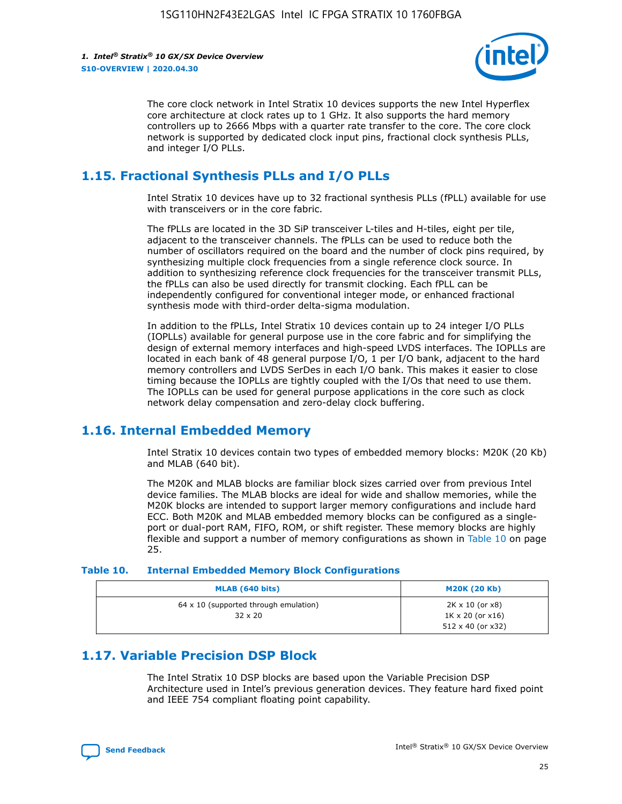

The core clock network in Intel Stratix 10 devices supports the new Intel Hyperflex core architecture at clock rates up to 1 GHz. It also supports the hard memory controllers up to 2666 Mbps with a quarter rate transfer to the core. The core clock network is supported by dedicated clock input pins, fractional clock synthesis PLLs, and integer I/O PLLs.

## **1.15. Fractional Synthesis PLLs and I/O PLLs**

Intel Stratix 10 devices have up to 32 fractional synthesis PLLs (fPLL) available for use with transceivers or in the core fabric.

The fPLLs are located in the 3D SiP transceiver L-tiles and H-tiles, eight per tile, adjacent to the transceiver channels. The fPLLs can be used to reduce both the number of oscillators required on the board and the number of clock pins required, by synthesizing multiple clock frequencies from a single reference clock source. In addition to synthesizing reference clock frequencies for the transceiver transmit PLLs, the fPLLs can also be used directly for transmit clocking. Each fPLL can be independently configured for conventional integer mode, or enhanced fractional synthesis mode with third-order delta-sigma modulation.

In addition to the fPLLs, Intel Stratix 10 devices contain up to 24 integer I/O PLLs (IOPLLs) available for general purpose use in the core fabric and for simplifying the design of external memory interfaces and high-speed LVDS interfaces. The IOPLLs are located in each bank of 48 general purpose I/O, 1 per I/O bank, adjacent to the hard memory controllers and LVDS SerDes in each I/O bank. This makes it easier to close timing because the IOPLLs are tightly coupled with the I/Os that need to use them. The IOPLLs can be used for general purpose applications in the core such as clock network delay compensation and zero-delay clock buffering.

## **1.16. Internal Embedded Memory**

Intel Stratix 10 devices contain two types of embedded memory blocks: M20K (20 Kb) and MLAB (640 bit).

The M20K and MLAB blocks are familiar block sizes carried over from previous Intel device families. The MLAB blocks are ideal for wide and shallow memories, while the M20K blocks are intended to support larger memory configurations and include hard ECC. Both M20K and MLAB embedded memory blocks can be configured as a singleport or dual-port RAM, FIFO, ROM, or shift register. These memory blocks are highly flexible and support a number of memory configurations as shown in Table 10 on page 25.

#### **Table 10. Internal Embedded Memory Block Configurations**

| MLAB (640 bits)                                                | <b>M20K (20 Kb)</b>                                                          |
|----------------------------------------------------------------|------------------------------------------------------------------------------|
| $64 \times 10$ (supported through emulation)<br>$32 \times 20$ | 2K x 10 (or x8)<br>$1K \times 20$ (or $x16$ )<br>$512 \times 40$ (or $x32$ ) |

## **1.17. Variable Precision DSP Block**

The Intel Stratix 10 DSP blocks are based upon the Variable Precision DSP Architecture used in Intel's previous generation devices. They feature hard fixed point and IEEE 754 compliant floating point capability.

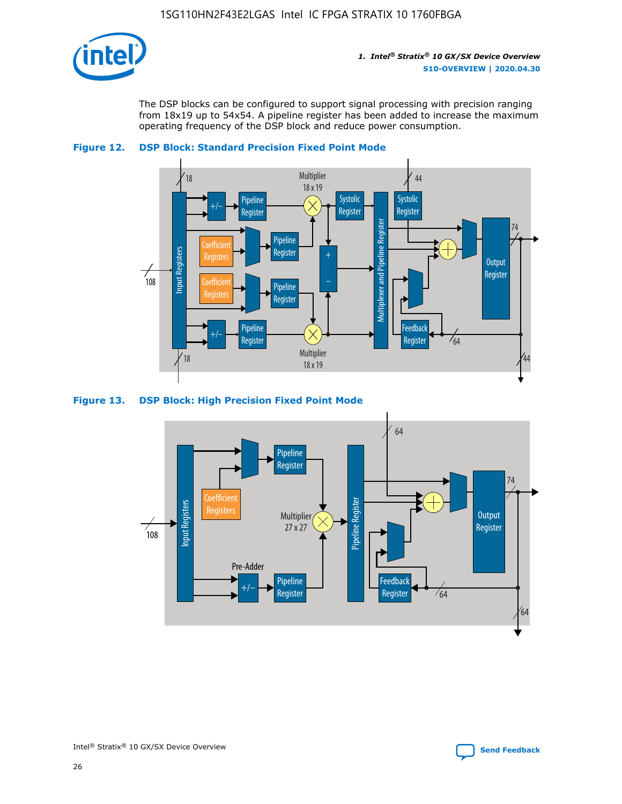

The DSP blocks can be configured to support signal processing with precision ranging from 18x19 up to 54x54. A pipeline register has been added to increase the maximum operating frequency of the DSP block and reduce power consumption.





#### **Figure 13. DSP Block: High Precision Fixed Point Mode**

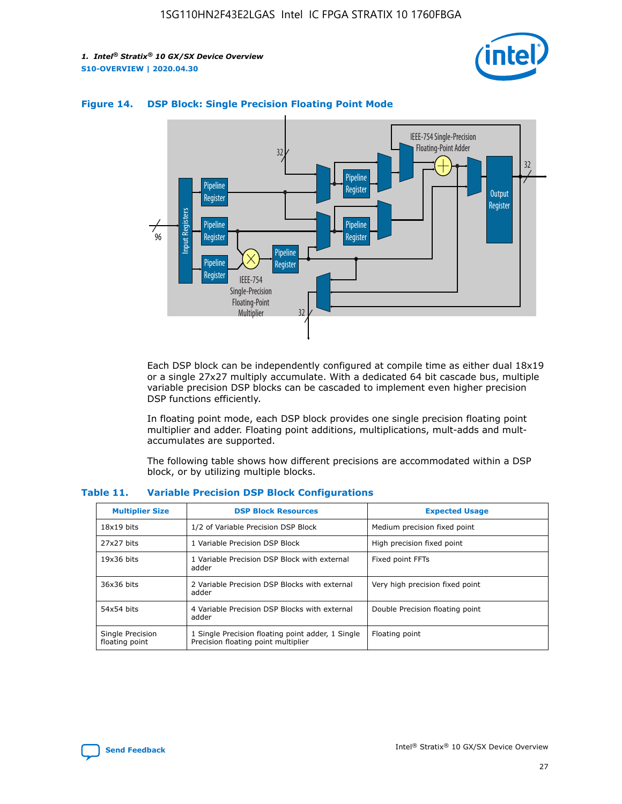



## **Figure 14. DSP Block: Single Precision Floating Point Mode**

Each DSP block can be independently configured at compile time as either dual 18x19 or a single 27x27 multiply accumulate. With a dedicated 64 bit cascade bus, multiple variable precision DSP blocks can be cascaded to implement even higher precision DSP functions efficiently.

In floating point mode, each DSP block provides one single precision floating point multiplier and adder. Floating point additions, multiplications, mult-adds and multaccumulates are supported.

The following table shows how different precisions are accommodated within a DSP block, or by utilizing multiple blocks.

| <b>Multiplier Size</b>             | <b>DSP Block Resources</b>                                                               | <b>Expected Usage</b>           |
|------------------------------------|------------------------------------------------------------------------------------------|---------------------------------|
| $18x19$ bits                       | 1/2 of Variable Precision DSP Block                                                      | Medium precision fixed point    |
| 27x27 bits                         | 1 Variable Precision DSP Block                                                           | High precision fixed point      |
| $19x36$ bits                       | 1 Variable Precision DSP Block with external<br>adder                                    | Fixed point FFTs                |
| 36x36 bits                         | 2 Variable Precision DSP Blocks with external<br>adder                                   | Very high precision fixed point |
| 54x54 bits                         | 4 Variable Precision DSP Blocks with external<br>adder                                   | Double Precision floating point |
| Single Precision<br>floating point | 1 Single Precision floating point adder, 1 Single<br>Precision floating point multiplier | Floating point                  |

#### **Table 11. Variable Precision DSP Block Configurations**

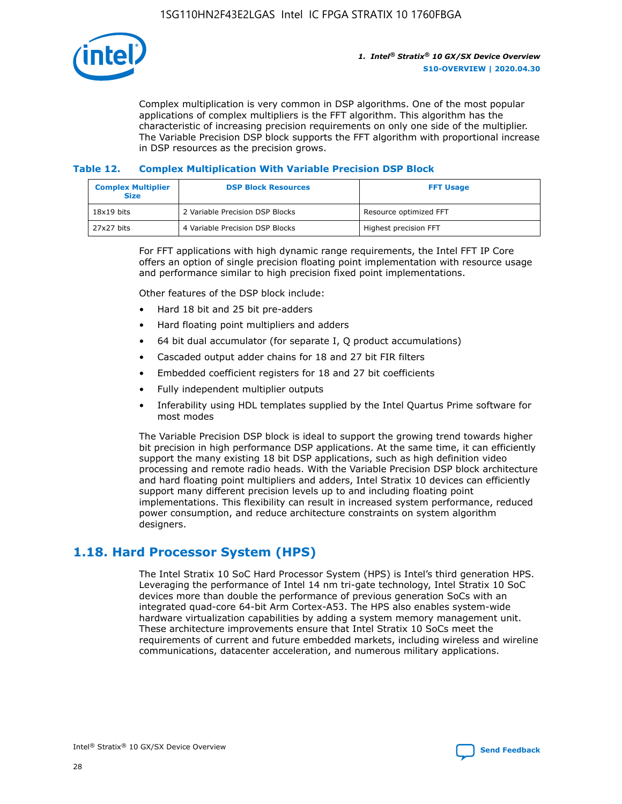

Complex multiplication is very common in DSP algorithms. One of the most popular applications of complex multipliers is the FFT algorithm. This algorithm has the characteristic of increasing precision requirements on only one side of the multiplier. The Variable Precision DSP block supports the FFT algorithm with proportional increase in DSP resources as the precision grows.

## **Table 12. Complex Multiplication With Variable Precision DSP Block**

| <b>Complex Multiplier</b><br><b>Size</b> | <b>DSP Block Resources</b>      | <b>FFT Usage</b>       |
|------------------------------------------|---------------------------------|------------------------|
| $18x19$ bits                             | 2 Variable Precision DSP Blocks | Resource optimized FFT |
| 27x27 bits                               | 4 Variable Precision DSP Blocks | Highest precision FFT  |

For FFT applications with high dynamic range requirements, the Intel FFT IP Core offers an option of single precision floating point implementation with resource usage and performance similar to high precision fixed point implementations.

Other features of the DSP block include:

- Hard 18 bit and 25 bit pre-adders
- Hard floating point multipliers and adders
- 64 bit dual accumulator (for separate I, Q product accumulations)
- Cascaded output adder chains for 18 and 27 bit FIR filters
- Embedded coefficient registers for 18 and 27 bit coefficients
- Fully independent multiplier outputs
- Inferability using HDL templates supplied by the Intel Quartus Prime software for most modes

The Variable Precision DSP block is ideal to support the growing trend towards higher bit precision in high performance DSP applications. At the same time, it can efficiently support the many existing 18 bit DSP applications, such as high definition video processing and remote radio heads. With the Variable Precision DSP block architecture and hard floating point multipliers and adders, Intel Stratix 10 devices can efficiently support many different precision levels up to and including floating point implementations. This flexibility can result in increased system performance, reduced power consumption, and reduce architecture constraints on system algorithm designers.

## **1.18. Hard Processor System (HPS)**

The Intel Stratix 10 SoC Hard Processor System (HPS) is Intel's third generation HPS. Leveraging the performance of Intel 14 nm tri-gate technology, Intel Stratix 10 SoC devices more than double the performance of previous generation SoCs with an integrated quad-core 64-bit Arm Cortex-A53. The HPS also enables system-wide hardware virtualization capabilities by adding a system memory management unit. These architecture improvements ensure that Intel Stratix 10 SoCs meet the requirements of current and future embedded markets, including wireless and wireline communications, datacenter acceleration, and numerous military applications.

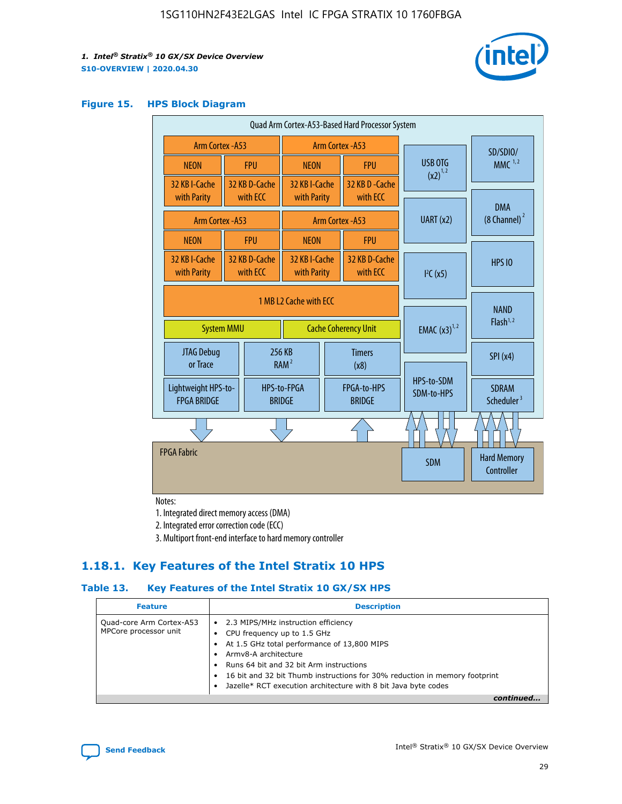

#### **Figure 15. HPS Block Diagram**

| Quad Arm Cortex-A53-Based Hard Processor System |                                           |                                                                            |                           |                                                     |  |                              |                                     |                                        |
|-------------------------------------------------|-------------------------------------------|----------------------------------------------------------------------------|---------------------------|-----------------------------------------------------|--|------------------------------|-------------------------------------|----------------------------------------|
|                                                 | <b>Arm Cortex - A53</b>                   |                                                                            |                           | Arm Cortex - A53                                    |  |                              | SD/SDIO/                            |                                        |
|                                                 | <b>NEON</b>                               |                                                                            | <b>FPU</b>                | <b>NEON</b>                                         |  | <b>FPU</b>                   | USB OTG                             | $MMC$ <sup>1,2</sup>                   |
|                                                 | 32 KB I-Cache                             |                                                                            | 32 KB D-Cache             | 32 KB I-Cache                                       |  | 32 KB D - Cache              | $(x2)^{1,2}$                        |                                        |
|                                                 | with Parity                               |                                                                            | with ECC                  | with Parity                                         |  | with ECC                     |                                     | <b>DMA</b>                             |
|                                                 | <b>Arm Cortex - A53</b>                   |                                                                            |                           |                                                     |  | Arm Cortex - A53             | UART (x2)                           | (8 Channel) <sup>2</sup>               |
|                                                 | <b>NEON</b>                               |                                                                            | <b>FPU</b>                | <b>NEON</b>                                         |  | <b>FPU</b>                   |                                     |                                        |
|                                                 | 32 KB I-Cache<br>with Parity              |                                                                            | 32 KB D-Cache<br>with ECC | 32 KB I-Cache<br>with Parity                        |  | 32 KB D-Cache<br>with ECC    | I <sup>2</sup> C(x5)                | <b>HPS 10</b>                          |
|                                                 |                                           | 1 MB L2 Cache with ECC<br><b>System MMU</b><br><b>Cache Coherency Unit</b> |                           |                                                     |  | <b>EMAC</b> $(x3)^{1,2}$     | <b>NAND</b><br>Flash <sup>1,2</sup> |                                        |
|                                                 | JTAG Debug<br>or Trace                    |                                                                            |                           | 256 KB<br><b>Timers</b><br>RAM <sup>2</sup><br>(x8) |  |                              | SPI(x4)                             |                                        |
|                                                 | Lightweight HPS-to-<br><b>FPGA BRIDGE</b> |                                                                            |                           | HPS-to-FPGA<br><b>BRIDGE</b>                        |  | FPGA-to-HPS<br><b>BRIDGE</b> | HPS-to-SDM<br>SDM-to-HPS            | <b>SDRAM</b><br>Scheduler <sup>3</sup> |
|                                                 |                                           |                                                                            |                           |                                                     |  |                              |                                     |                                        |
|                                                 | <b>FPGA Fabric</b>                        |                                                                            |                           |                                                     |  |                              | <b>SDM</b>                          | <b>Hard Memory</b><br>Controller       |

Notes:

1. Integrated direct memory access (DMA)

2. Integrated error correction code (ECC)

3. Multiport front-end interface to hard memory controller

## **1.18.1. Key Features of the Intel Stratix 10 HPS**

## **Table 13. Key Features of the Intel Stratix 10 GX/SX HPS**

| <b>Feature</b>                                    | <b>Description</b>                                                                                                                                                                                                                                                                                                                     |
|---------------------------------------------------|----------------------------------------------------------------------------------------------------------------------------------------------------------------------------------------------------------------------------------------------------------------------------------------------------------------------------------------|
| Quad-core Arm Cortex-A53<br>MPCore processor unit | • 2.3 MIPS/MHz instruction efficiency<br>CPU frequency up to 1.5 GHz<br>At 1.5 GHz total performance of 13,800 MIPS<br>Army8-A architecture<br>Runs 64 bit and 32 bit Arm instructions<br>16 bit and 32 bit Thumb instructions for 30% reduction in memory footprint<br>Jazelle* RCT execution architecture with 8 bit Java byte codes |
|                                                   |                                                                                                                                                                                                                                                                                                                                        |

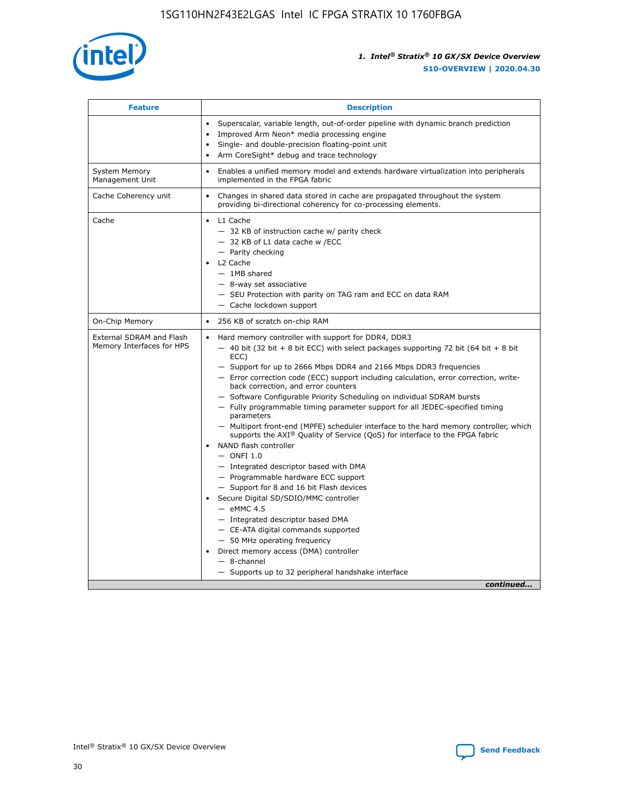

| <b>Feature</b>                                        | <b>Description</b>                                                                                                                                                                                                                                                                                                                                                                                                                                                                                                                                                                                                                                                                                                                                                                                                                                                                                                                                                                                                                                                                                                                                                                                                       |  |
|-------------------------------------------------------|--------------------------------------------------------------------------------------------------------------------------------------------------------------------------------------------------------------------------------------------------------------------------------------------------------------------------------------------------------------------------------------------------------------------------------------------------------------------------------------------------------------------------------------------------------------------------------------------------------------------------------------------------------------------------------------------------------------------------------------------------------------------------------------------------------------------------------------------------------------------------------------------------------------------------------------------------------------------------------------------------------------------------------------------------------------------------------------------------------------------------------------------------------------------------------------------------------------------------|--|
|                                                       | Superscalar, variable length, out-of-order pipeline with dynamic branch prediction<br>Improved Arm Neon* media processing engine<br>$\bullet$<br>Single- and double-precision floating-point unit<br>Arm CoreSight* debug and trace technology<br>$\bullet$                                                                                                                                                                                                                                                                                                                                                                                                                                                                                                                                                                                                                                                                                                                                                                                                                                                                                                                                                              |  |
| <b>System Memory</b><br>Management Unit               | Enables a unified memory model and extends hardware virtualization into peripherals<br>implemented in the FPGA fabric                                                                                                                                                                                                                                                                                                                                                                                                                                                                                                                                                                                                                                                                                                                                                                                                                                                                                                                                                                                                                                                                                                    |  |
| Cache Coherency unit                                  | Changes in shared data stored in cache are propagated throughout the system<br>$\bullet$<br>providing bi-directional coherency for co-processing elements.                                                                                                                                                                                                                                                                                                                                                                                                                                                                                                                                                                                                                                                                                                                                                                                                                                                                                                                                                                                                                                                               |  |
| Cache                                                 | L1 Cache<br>$\bullet$<br>- 32 KB of instruction cache w/ parity check<br>- 32 KB of L1 data cache w /ECC<br>- Parity checking<br>L <sub>2</sub> Cache<br>- 1MB shared<br>- 8-way set associative<br>- SEU Protection with parity on TAG ram and ECC on data RAM<br>- Cache lockdown support                                                                                                                                                                                                                                                                                                                                                                                                                                                                                                                                                                                                                                                                                                                                                                                                                                                                                                                              |  |
| On-Chip Memory                                        | 256 KB of scratch on-chip RAM                                                                                                                                                                                                                                                                                                                                                                                                                                                                                                                                                                                                                                                                                                                                                                                                                                                                                                                                                                                                                                                                                                                                                                                            |  |
| External SDRAM and Flash<br>Memory Interfaces for HPS | Hard memory controller with support for DDR4, DDR3<br>$\bullet$<br>$-$ 40 bit (32 bit + 8 bit ECC) with select packages supporting 72 bit (64 bit + 8 bit<br>ECC)<br>- Support for up to 2666 Mbps DDR4 and 2166 Mbps DDR3 frequencies<br>- Error correction code (ECC) support including calculation, error correction, write-<br>back correction, and error counters<br>- Software Configurable Priority Scheduling on individual SDRAM bursts<br>- Fully programmable timing parameter support for all JEDEC-specified timing<br>parameters<br>- Multiport front-end (MPFE) scheduler interface to the hard memory controller, which<br>supports the $AXI^{\circledR}$ Quality of Service (QoS) for interface to the FPGA fabric<br>NAND flash controller<br>$-$ ONFI 1.0<br>- Integrated descriptor based with DMA<br>- Programmable hardware ECC support<br>- Support for 8 and 16 bit Flash devices<br>Secure Digital SD/SDIO/MMC controller<br>$-$ eMMC 4.5<br>- Integrated descriptor based DMA<br>- CE-ATA digital commands supported<br>- 50 MHz operating frequency<br>Direct memory access (DMA) controller<br>$\bullet$<br>$-$ 8-channel<br>- Supports up to 32 peripheral handshake interface<br>continued |  |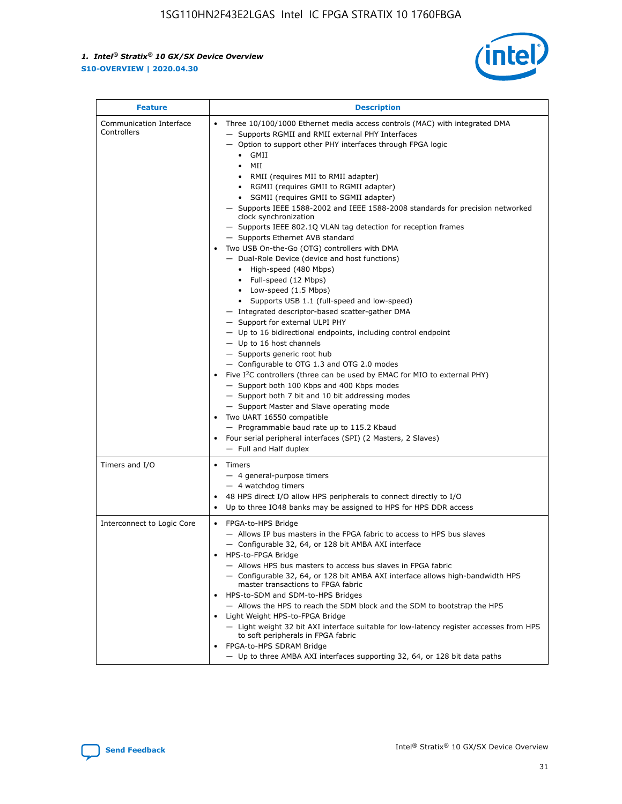

| <b>Feature</b>                         | <b>Description</b>                                                                                                                                                                                                                                                                                                                                                                                                                                                                                                                                                                                                                                                                                                                                                                                                                                                                                                                                                                                                                                                                                                                                                                                                                                                                                                                                                                                                                                                                                  |
|----------------------------------------|-----------------------------------------------------------------------------------------------------------------------------------------------------------------------------------------------------------------------------------------------------------------------------------------------------------------------------------------------------------------------------------------------------------------------------------------------------------------------------------------------------------------------------------------------------------------------------------------------------------------------------------------------------------------------------------------------------------------------------------------------------------------------------------------------------------------------------------------------------------------------------------------------------------------------------------------------------------------------------------------------------------------------------------------------------------------------------------------------------------------------------------------------------------------------------------------------------------------------------------------------------------------------------------------------------------------------------------------------------------------------------------------------------------------------------------------------------------------------------------------------------|
| Communication Interface<br>Controllers | Three 10/100/1000 Ethernet media access controls (MAC) with integrated DMA<br>- Supports RGMII and RMII external PHY Interfaces<br>- Option to support other PHY interfaces through FPGA logic<br>$\bullet$ GMII<br>MII<br>$\bullet$<br>• RMII (requires MII to RMII adapter)<br>• RGMII (requires GMII to RGMII adapter)<br>• SGMII (requires GMII to SGMII adapter)<br>- Supports IEEE 1588-2002 and IEEE 1588-2008 standards for precision networked<br>clock synchronization<br>- Supports IEEE 802.1Q VLAN tag detection for reception frames<br>- Supports Ethernet AVB standard<br>Two USB On-the-Go (OTG) controllers with DMA<br>- Dual-Role Device (device and host functions)<br>• High-speed (480 Mbps)<br>• Full-speed (12 Mbps)<br>• Low-speed (1.5 Mbps)<br>• Supports USB 1.1 (full-speed and low-speed)<br>- Integrated descriptor-based scatter-gather DMA<br>- Support for external ULPI PHY<br>$-$ Up to 16 bidirectional endpoints, including control endpoint<br>$-$ Up to 16 host channels<br>- Supports generic root hub<br>- Configurable to OTG 1.3 and OTG 2.0 modes<br>Five $I^2C$ controllers (three can be used by EMAC for MIO to external PHY)<br>- Support both 100 Kbps and 400 Kbps modes<br>- Support both 7 bit and 10 bit addressing modes<br>- Support Master and Slave operating mode<br>Two UART 16550 compatible<br>- Programmable baud rate up to 115.2 Kbaud<br>Four serial peripheral interfaces (SPI) (2 Masters, 2 Slaves)<br>- Full and Half duplex |
| Timers and I/O                         | • Timers<br>- 4 general-purpose timers<br>$-4$ watchdog timers<br>48 HPS direct I/O allow HPS peripherals to connect directly to I/O<br>Up to three IO48 banks may be assigned to HPS for HPS DDR access                                                                                                                                                                                                                                                                                                                                                                                                                                                                                                                                                                                                                                                                                                                                                                                                                                                                                                                                                                                                                                                                                                                                                                                                                                                                                            |
| Interconnect to Logic Core             | • FPGA-to-HPS Bridge<br>- Allows IP bus masters in the FPGA fabric to access to HPS bus slaves<br>- Configurable 32, 64, or 128 bit AMBA AXI interface<br>HPS-to-FPGA Bridge<br>- Allows HPS bus masters to access bus slaves in FPGA fabric<br>- Configurable 32, 64, or 128 bit AMBA AXI interface allows high-bandwidth HPS<br>master transactions to FPGA fabric<br>HPS-to-SDM and SDM-to-HPS Bridges<br>- Allows the HPS to reach the SDM block and the SDM to bootstrap the HPS<br>Light Weight HPS-to-FPGA Bridge<br>- Light weight 32 bit AXI interface suitable for low-latency register accesses from HPS<br>to soft peripherals in FPGA fabric<br>FPGA-to-HPS SDRAM Bridge<br>- Up to three AMBA AXI interfaces supporting 32, 64, or 128 bit data paths                                                                                                                                                                                                                                                                                                                                                                                                                                                                                                                                                                                                                                                                                                                                 |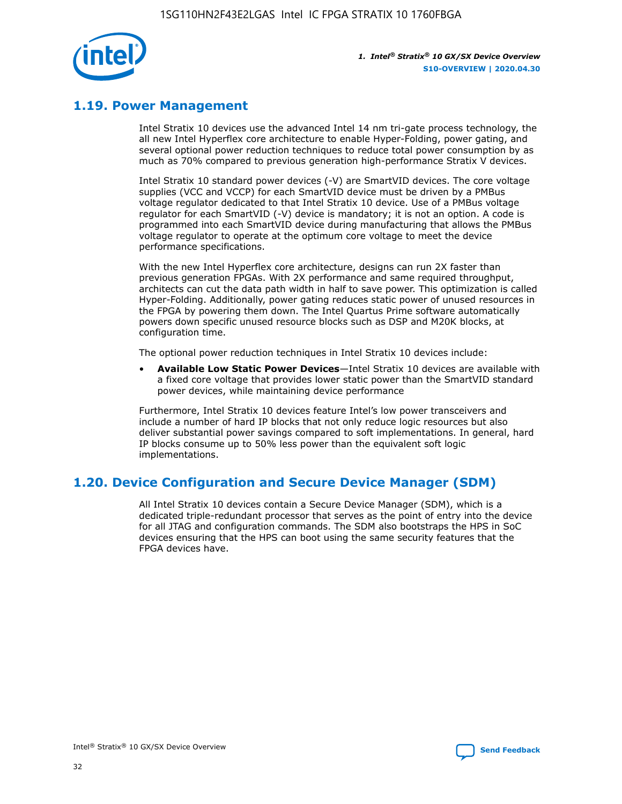

## **1.19. Power Management**

Intel Stratix 10 devices use the advanced Intel 14 nm tri-gate process technology, the all new Intel Hyperflex core architecture to enable Hyper-Folding, power gating, and several optional power reduction techniques to reduce total power consumption by as much as 70% compared to previous generation high-performance Stratix V devices.

Intel Stratix 10 standard power devices (-V) are SmartVID devices. The core voltage supplies (VCC and VCCP) for each SmartVID device must be driven by a PMBus voltage regulator dedicated to that Intel Stratix 10 device. Use of a PMBus voltage regulator for each SmartVID (-V) device is mandatory; it is not an option. A code is programmed into each SmartVID device during manufacturing that allows the PMBus voltage regulator to operate at the optimum core voltage to meet the device performance specifications.

With the new Intel Hyperflex core architecture, designs can run 2X faster than previous generation FPGAs. With 2X performance and same required throughput, architects can cut the data path width in half to save power. This optimization is called Hyper-Folding. Additionally, power gating reduces static power of unused resources in the FPGA by powering them down. The Intel Quartus Prime software automatically powers down specific unused resource blocks such as DSP and M20K blocks, at configuration time.

The optional power reduction techniques in Intel Stratix 10 devices include:

• **Available Low Static Power Devices**—Intel Stratix 10 devices are available with a fixed core voltage that provides lower static power than the SmartVID standard power devices, while maintaining device performance

Furthermore, Intel Stratix 10 devices feature Intel's low power transceivers and include a number of hard IP blocks that not only reduce logic resources but also deliver substantial power savings compared to soft implementations. In general, hard IP blocks consume up to 50% less power than the equivalent soft logic implementations.

## **1.20. Device Configuration and Secure Device Manager (SDM)**

All Intel Stratix 10 devices contain a Secure Device Manager (SDM), which is a dedicated triple-redundant processor that serves as the point of entry into the device for all JTAG and configuration commands. The SDM also bootstraps the HPS in SoC devices ensuring that the HPS can boot using the same security features that the FPGA devices have.

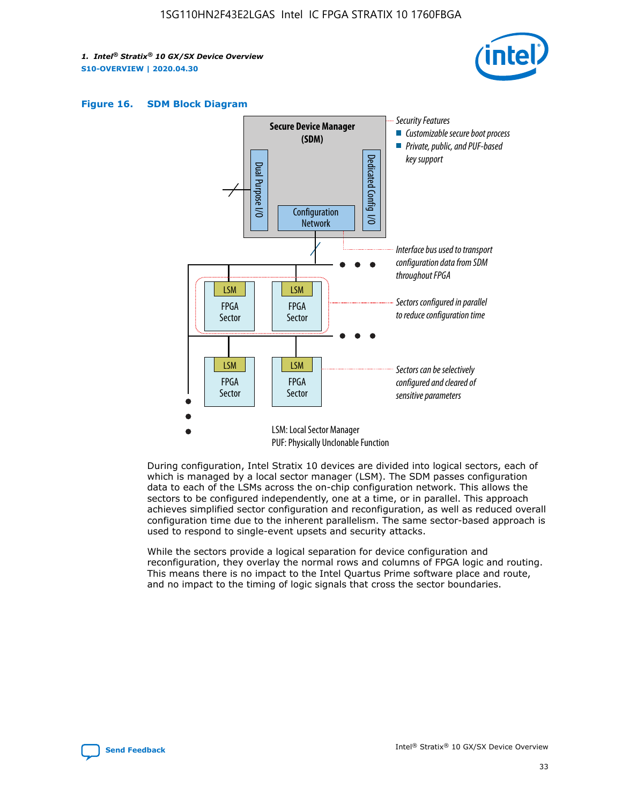





During configuration, Intel Stratix 10 devices are divided into logical sectors, each of which is managed by a local sector manager (LSM). The SDM passes configuration data to each of the LSMs across the on-chip configuration network. This allows the sectors to be configured independently, one at a time, or in parallel. This approach achieves simplified sector configuration and reconfiguration, as well as reduced overall configuration time due to the inherent parallelism. The same sector-based approach is used to respond to single-event upsets and security attacks.

While the sectors provide a logical separation for device configuration and reconfiguration, they overlay the normal rows and columns of FPGA logic and routing. This means there is no impact to the Intel Quartus Prime software place and route, and no impact to the timing of logic signals that cross the sector boundaries.

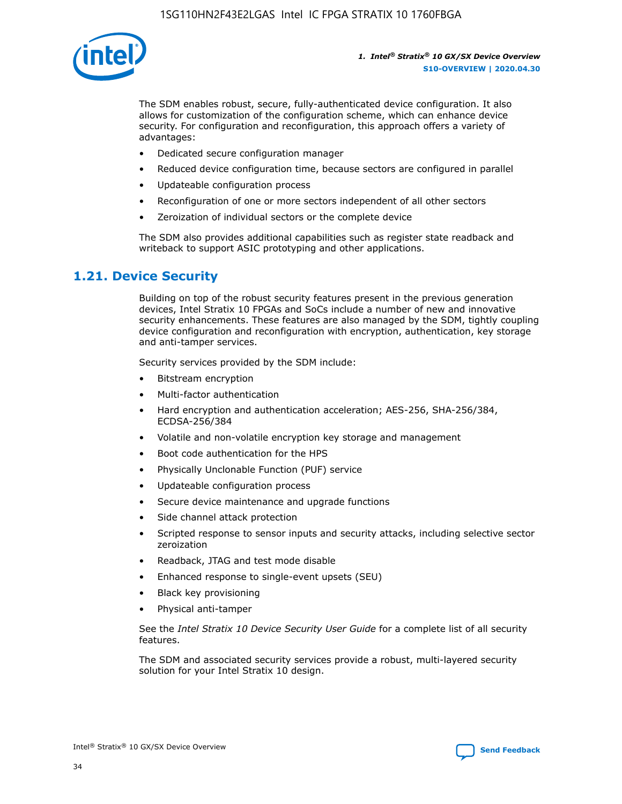

The SDM enables robust, secure, fully-authenticated device configuration. It also allows for customization of the configuration scheme, which can enhance device security. For configuration and reconfiguration, this approach offers a variety of advantages:

- Dedicated secure configuration manager
- Reduced device configuration time, because sectors are configured in parallel
- Updateable configuration process
- Reconfiguration of one or more sectors independent of all other sectors
- Zeroization of individual sectors or the complete device

The SDM also provides additional capabilities such as register state readback and writeback to support ASIC prototyping and other applications.

## **1.21. Device Security**

Building on top of the robust security features present in the previous generation devices, Intel Stratix 10 FPGAs and SoCs include a number of new and innovative security enhancements. These features are also managed by the SDM, tightly coupling device configuration and reconfiguration with encryption, authentication, key storage and anti-tamper services.

Security services provided by the SDM include:

- Bitstream encryption
- Multi-factor authentication
- Hard encryption and authentication acceleration; AES-256, SHA-256/384, ECDSA-256/384
- Volatile and non-volatile encryption key storage and management
- Boot code authentication for the HPS
- Physically Unclonable Function (PUF) service
- Updateable configuration process
- Secure device maintenance and upgrade functions
- Side channel attack protection
- Scripted response to sensor inputs and security attacks, including selective sector zeroization
- Readback, JTAG and test mode disable
- Enhanced response to single-event upsets (SEU)
- Black key provisioning
- Physical anti-tamper

See the *Intel Stratix 10 Device Security User Guide* for a complete list of all security features.

The SDM and associated security services provide a robust, multi-layered security solution for your Intel Stratix 10 design.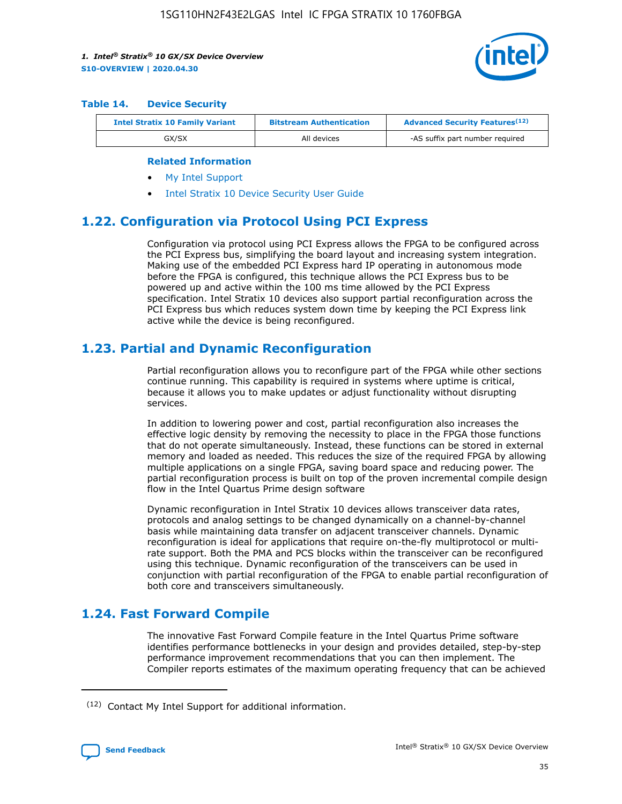

#### **Table 14. Device Security**

| <b>Intel Stratix 10 Family Variant</b> | <b>Bitstream Authentication</b> | <b>Advanced Security Features</b> <sup>(12)</sup> |
|----------------------------------------|---------------------------------|---------------------------------------------------|
| GX/SX                                  | All devices                     | -AS suffix part number required                   |

#### **Related Information**

- [My Intel Support](https://www.intel.com/content/www/us/en/programmable/my-intel/mal-home.html)
- [Intel Stratix 10 Device Security User Guide](https://www.intel.com/content/www/us/en/programmable/documentation/ndq1483601370898.html#wcd1483611014402)

## **1.22. Configuration via Protocol Using PCI Express**

Configuration via protocol using PCI Express allows the FPGA to be configured across the PCI Express bus, simplifying the board layout and increasing system integration. Making use of the embedded PCI Express hard IP operating in autonomous mode before the FPGA is configured, this technique allows the PCI Express bus to be powered up and active within the 100 ms time allowed by the PCI Express specification. Intel Stratix 10 devices also support partial reconfiguration across the PCI Express bus which reduces system down time by keeping the PCI Express link active while the device is being reconfigured.

## **1.23. Partial and Dynamic Reconfiguration**

Partial reconfiguration allows you to reconfigure part of the FPGA while other sections continue running. This capability is required in systems where uptime is critical, because it allows you to make updates or adjust functionality without disrupting services.

In addition to lowering power and cost, partial reconfiguration also increases the effective logic density by removing the necessity to place in the FPGA those functions that do not operate simultaneously. Instead, these functions can be stored in external memory and loaded as needed. This reduces the size of the required FPGA by allowing multiple applications on a single FPGA, saving board space and reducing power. The partial reconfiguration process is built on top of the proven incremental compile design flow in the Intel Quartus Prime design software

Dynamic reconfiguration in Intel Stratix 10 devices allows transceiver data rates, protocols and analog settings to be changed dynamically on a channel-by-channel basis while maintaining data transfer on adjacent transceiver channels. Dynamic reconfiguration is ideal for applications that require on-the-fly multiprotocol or multirate support. Both the PMA and PCS blocks within the transceiver can be reconfigured using this technique. Dynamic reconfiguration of the transceivers can be used in conjunction with partial reconfiguration of the FPGA to enable partial reconfiguration of both core and transceivers simultaneously.

## **1.24. Fast Forward Compile**

The innovative Fast Forward Compile feature in the Intel Quartus Prime software identifies performance bottlenecks in your design and provides detailed, step-by-step performance improvement recommendations that you can then implement. The Compiler reports estimates of the maximum operating frequency that can be achieved

<sup>(12)</sup> Contact My Intel Support for additional information.

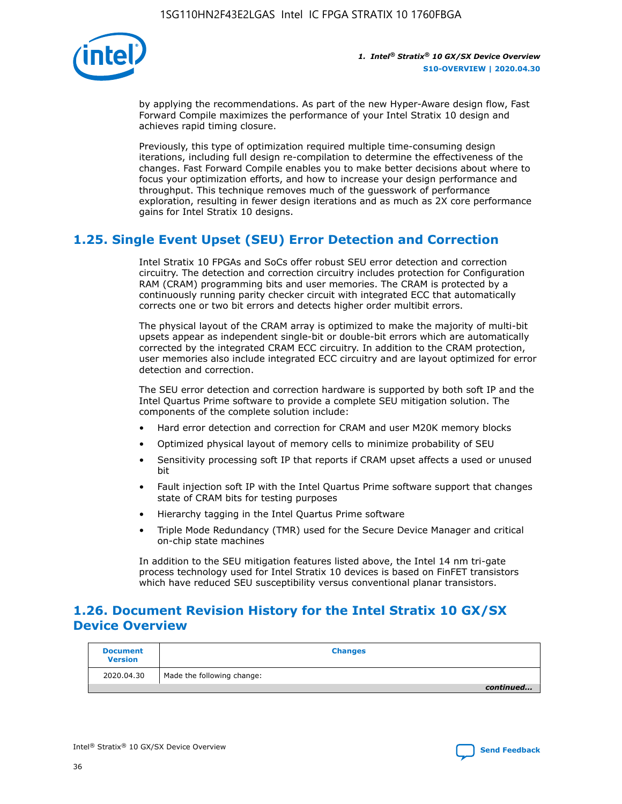

by applying the recommendations. As part of the new Hyper-Aware design flow, Fast Forward Compile maximizes the performance of your Intel Stratix 10 design and achieves rapid timing closure.

Previously, this type of optimization required multiple time-consuming design iterations, including full design re-compilation to determine the effectiveness of the changes. Fast Forward Compile enables you to make better decisions about where to focus your optimization efforts, and how to increase your design performance and throughput. This technique removes much of the guesswork of performance exploration, resulting in fewer design iterations and as much as 2X core performance gains for Intel Stratix 10 designs.

## **1.25. Single Event Upset (SEU) Error Detection and Correction**

Intel Stratix 10 FPGAs and SoCs offer robust SEU error detection and correction circuitry. The detection and correction circuitry includes protection for Configuration RAM (CRAM) programming bits and user memories. The CRAM is protected by a continuously running parity checker circuit with integrated ECC that automatically corrects one or two bit errors and detects higher order multibit errors.

The physical layout of the CRAM array is optimized to make the majority of multi-bit upsets appear as independent single-bit or double-bit errors which are automatically corrected by the integrated CRAM ECC circuitry. In addition to the CRAM protection, user memories also include integrated ECC circuitry and are layout optimized for error detection and correction.

The SEU error detection and correction hardware is supported by both soft IP and the Intel Quartus Prime software to provide a complete SEU mitigation solution. The components of the complete solution include:

- Hard error detection and correction for CRAM and user M20K memory blocks
- Optimized physical layout of memory cells to minimize probability of SEU
- Sensitivity processing soft IP that reports if CRAM upset affects a used or unused bit
- Fault injection soft IP with the Intel Quartus Prime software support that changes state of CRAM bits for testing purposes
- Hierarchy tagging in the Intel Quartus Prime software
- Triple Mode Redundancy (TMR) used for the Secure Device Manager and critical on-chip state machines

In addition to the SEU mitigation features listed above, the Intel 14 nm tri-gate process technology used for Intel Stratix 10 devices is based on FinFET transistors which have reduced SEU susceptibility versus conventional planar transistors.

## **1.26. Document Revision History for the Intel Stratix 10 GX/SX Device Overview**

| <b>Document</b><br><b>Version</b> | <b>Changes</b>             |
|-----------------------------------|----------------------------|
| 2020.04.30                        | Made the following change: |
|                                   | continued                  |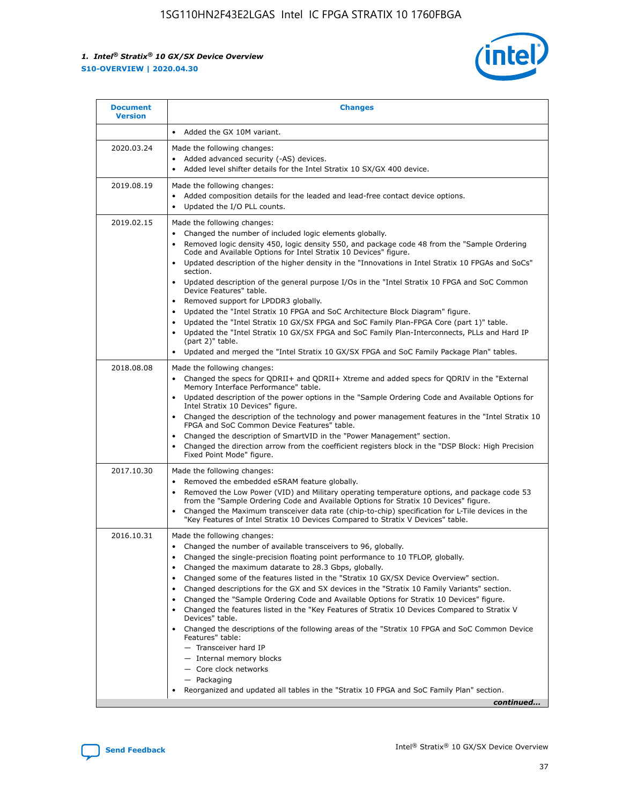

| <b>Document</b><br><b>Version</b> | <b>Changes</b>                                                                                                                                                                                                                                                                                                                                                                                                                                                                                                                                                                                                                                                                                                                                                                                                                                                                                                                                                                                           |
|-----------------------------------|----------------------------------------------------------------------------------------------------------------------------------------------------------------------------------------------------------------------------------------------------------------------------------------------------------------------------------------------------------------------------------------------------------------------------------------------------------------------------------------------------------------------------------------------------------------------------------------------------------------------------------------------------------------------------------------------------------------------------------------------------------------------------------------------------------------------------------------------------------------------------------------------------------------------------------------------------------------------------------------------------------|
|                                   | Added the GX 10M variant.                                                                                                                                                                                                                                                                                                                                                                                                                                                                                                                                                                                                                                                                                                                                                                                                                                                                                                                                                                                |
| 2020.03.24                        | Made the following changes:<br>Added advanced security (-AS) devices.<br>$\bullet$<br>Added level shifter details for the Intel Stratix 10 SX/GX 400 device.<br>٠                                                                                                                                                                                                                                                                                                                                                                                                                                                                                                                                                                                                                                                                                                                                                                                                                                        |
| 2019.08.19                        | Made the following changes:<br>Added composition details for the leaded and lead-free contact device options.<br>Updated the I/O PLL counts.<br>٠                                                                                                                                                                                                                                                                                                                                                                                                                                                                                                                                                                                                                                                                                                                                                                                                                                                        |
| 2019.02.15                        | Made the following changes:<br>Changed the number of included logic elements globally.<br>$\bullet$<br>Removed logic density 450, logic density 550, and package code 48 from the "Sample Ordering<br>٠<br>Code and Available Options for Intel Stratix 10 Devices" figure.<br>Updated description of the higher density in the "Innovations in Intel Stratix 10 FPGAs and SoCs"<br>section.<br>Updated description of the general purpose I/Os in the "Intel Stratix 10 FPGA and SoC Common<br>$\bullet$<br>Device Features" table.<br>Removed support for LPDDR3 globally.<br>٠<br>Updated the "Intel Stratix 10 FPGA and SoC Architecture Block Diagram" figure.<br>$\bullet$<br>Updated the "Intel Stratix 10 GX/SX FPGA and SoC Family Plan-FPGA Core (part 1)" table.<br>$\bullet$<br>Updated the "Intel Stratix 10 GX/SX FPGA and SoC Family Plan-Interconnects, PLLs and Hard IP<br>(part 2)" table.<br>Updated and merged the "Intel Stratix 10 GX/SX FPGA and SoC Family Package Plan" tables. |
| 2018.08.08                        | Made the following changes:<br>Changed the specs for QDRII+ and QDRII+ Xtreme and added specs for QDRIV in the "External<br>$\bullet$<br>Memory Interface Performance" table.<br>Updated description of the power options in the "Sample Ordering Code and Available Options for<br>Intel Stratix 10 Devices" figure.<br>Changed the description of the technology and power management features in the "Intel Stratix 10<br>FPGA and SoC Common Device Features" table.<br>Changed the description of SmartVID in the "Power Management" section.<br>Changed the direction arrow from the coefficient registers block in the "DSP Block: High Precision<br>٠<br>Fixed Point Mode" figure.                                                                                                                                                                                                                                                                                                               |
| 2017.10.30                        | Made the following changes:<br>Removed the embedded eSRAM feature globally.<br>$\bullet$<br>Removed the Low Power (VID) and Military operating temperature options, and package code 53<br>٠<br>from the "Sample Ordering Code and Available Options for Stratix 10 Devices" figure.<br>Changed the Maximum transceiver data rate (chip-to-chip) specification for L-Tile devices in the<br>$\bullet$<br>"Key Features of Intel Stratix 10 Devices Compared to Stratix V Devices" table.                                                                                                                                                                                                                                                                                                                                                                                                                                                                                                                 |
| 2016.10.31                        | Made the following changes:<br>• Changed the number of available transceivers to 96, globally.<br>Changed the single-precision floating point performance to 10 TFLOP, globally.<br>Changed the maximum datarate to 28.3 Gbps, globally.<br>٠<br>Changed some of the features listed in the "Stratix 10 GX/SX Device Overview" section.<br>٠<br>Changed descriptions for the GX and SX devices in the "Stratix 10 Family Variants" section.<br>٠<br>Changed the "Sample Ordering Code and Available Options for Stratix 10 Devices" figure.<br>٠<br>Changed the features listed in the "Key Features of Stratix 10 Devices Compared to Stratix V<br>Devices" table.<br>Changed the descriptions of the following areas of the "Stratix 10 FPGA and SoC Common Device<br>Features" table:<br>- Transceiver hard IP<br>- Internal memory blocks<br>- Core clock networks<br>- Packaging<br>Reorganized and updated all tables in the "Stratix 10 FPGA and SoC Family Plan" section.                        |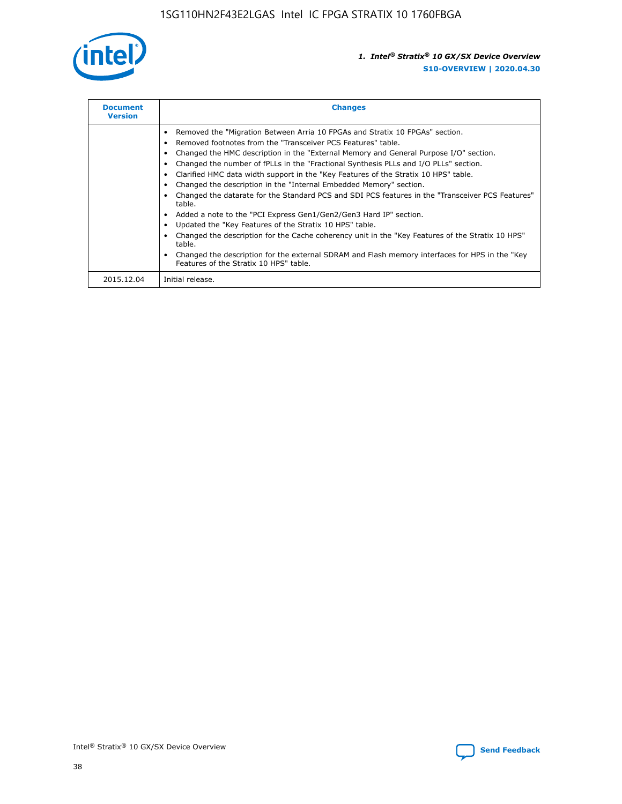

| <b>Document</b><br><b>Version</b> | <b>Changes</b>                                                                                                                                                                                                                                                                                                                                                                                                                                                                                                                                                                                                                                                                                                                                                                                                                                                                                                                                                                                      |
|-----------------------------------|-----------------------------------------------------------------------------------------------------------------------------------------------------------------------------------------------------------------------------------------------------------------------------------------------------------------------------------------------------------------------------------------------------------------------------------------------------------------------------------------------------------------------------------------------------------------------------------------------------------------------------------------------------------------------------------------------------------------------------------------------------------------------------------------------------------------------------------------------------------------------------------------------------------------------------------------------------------------------------------------------------|
|                                   | Removed the "Migration Between Arria 10 FPGAs and Stratix 10 FPGAs" section.<br>Removed footnotes from the "Transceiver PCS Features" table.<br>Changed the HMC description in the "External Memory and General Purpose I/O" section.<br>Changed the number of fPLLs in the "Fractional Synthesis PLLs and I/O PLLs" section.<br>Clarified HMC data width support in the "Key Features of the Stratix 10 HPS" table.<br>Changed the description in the "Internal Embedded Memory" section.<br>Changed the datarate for the Standard PCS and SDI PCS features in the "Transceiver PCS Features"<br>table.<br>Added a note to the "PCI Express Gen1/Gen2/Gen3 Hard IP" section.<br>Updated the "Key Features of the Stratix 10 HPS" table.<br>Changed the description for the Cache coherency unit in the "Key Features of the Stratix 10 HPS"<br>table.<br>Changed the description for the external SDRAM and Flash memory interfaces for HPS in the "Key"<br>Features of the Stratix 10 HPS" table. |
| 2015.12.04                        | Initial release.                                                                                                                                                                                                                                                                                                                                                                                                                                                                                                                                                                                                                                                                                                                                                                                                                                                                                                                                                                                    |